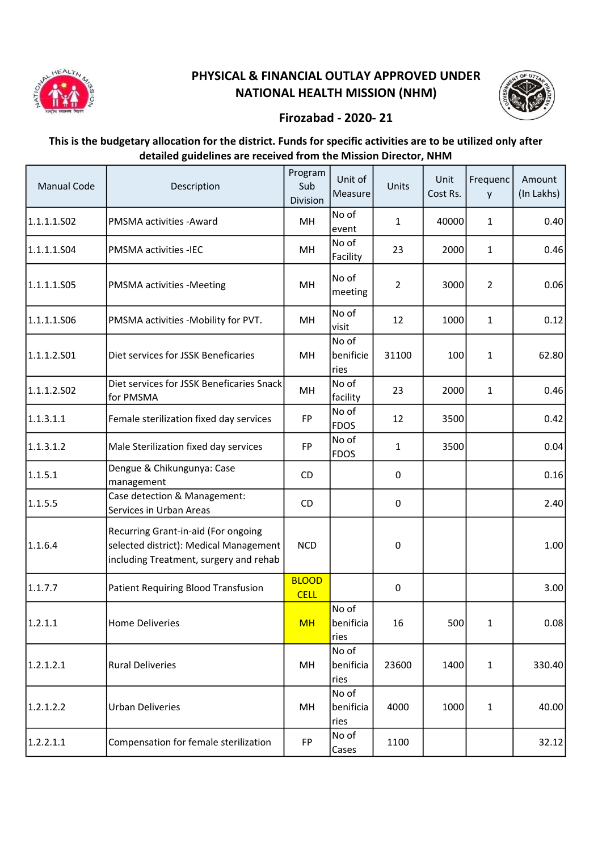

## PHYSICAL & FINANCIAL OUTLAY APPROVED UNDER NATIONAL HEALTH MISSION (NHM)



## Firozabad - 2020- 21

## This is the budgetary allocation for the district. Funds for specific activities are to be utilized only after detailed guidelines are received from the Mission Director, NHM

| <b>Manual Code</b> | Description                                                                                                             | Program<br>Sub<br>Division  | Unit of<br>Measure         | Units          | Unit<br>Cost Rs. | Frequenc<br>y  | Amount<br>(In Lakhs) |
|--------------------|-------------------------------------------------------------------------------------------------------------------------|-----------------------------|----------------------------|----------------|------------------|----------------|----------------------|
| 1.1.1.1.S02        | PMSMA activities - Award                                                                                                | MH                          | No of<br>event             | $\mathbf{1}$   | 40000            | $\mathbf{1}$   | 0.40                 |
| 1.1.1.1.S04        | PMSMA activities -IEC                                                                                                   | MH                          | No of<br>Facility          | 23             | 2000             | $\mathbf{1}$   | 0.46                 |
| 1.1.1.1.S05        | PMSMA activities -Meeting                                                                                               | MH                          | No of<br>meeting           | $\overline{2}$ | 3000             | $\overline{2}$ | 0.06                 |
| 1.1.1.1.506        | PMSMA activities -Mobility for PVT.                                                                                     | MH                          | No of<br>visit             | 12             | 1000             | $\mathbf{1}$   | 0.12                 |
| 1.1.1.2.501        | Diet services for JSSK Beneficaries                                                                                     | MH                          | No of<br>benificie<br>ries | 31100          | 100              | $\mathbf{1}$   | 62.80                |
| 1.1.1.2.502        | Diet services for JSSK Beneficaries Snack<br>for PMSMA                                                                  | MH                          | No of<br>facility          | 23             | 2000             | 1              | 0.46                 |
| 1.1.3.1.1          | Female sterilization fixed day services                                                                                 | <b>FP</b>                   | No of<br>FDOS              | 12             | 3500             |                | 0.42                 |
| 1.1.3.1.2          | Male Sterilization fixed day services                                                                                   | FP                          | No of<br><b>FDOS</b>       | 1              | 3500             |                | 0.04                 |
| 1.1.5.1            | Dengue & Chikungunya: Case<br>management                                                                                | <b>CD</b>                   |                            | 0              |                  |                | 0.16                 |
| 1.1.5.5            | Case detection & Management:<br>Services in Urban Areas                                                                 | CD                          |                            | 0              |                  |                | 2.40                 |
| 1.1.6.4            | Recurring Grant-in-aid (For ongoing<br>selected district): Medical Management<br>including Treatment, surgery and rehab | <b>NCD</b>                  |                            | 0              |                  |                | 1.00                 |
| 1.1.7.7            | Patient Requiring Blood Transfusion                                                                                     | <b>BLOOD</b><br><b>CELL</b> |                            | 0              |                  |                | 3.00                 |
| 1.2.1.1            | <b>Home Deliveries</b>                                                                                                  | <b>MH</b>                   | No of<br>benificia<br>ries | 16             | 500              | $\mathbf{1}$   | 0.08                 |
| 1.2.1.2.1          | <b>Rural Deliveries</b>                                                                                                 | MH                          | No of<br>benificia<br>ries | 23600          | 1400             | $\mathbf{1}$   | 330.40               |
| 1.2.1.2.2          | <b>Urban Deliveries</b>                                                                                                 | MH                          | No of<br>benificia<br>ries | 4000           | 1000             | $\mathbf{1}$   | 40.00                |
| 1.2.2.1.1          | Compensation for female sterilization                                                                                   | FP                          | No of<br>Cases             | 1100           |                  |                | 32.12                |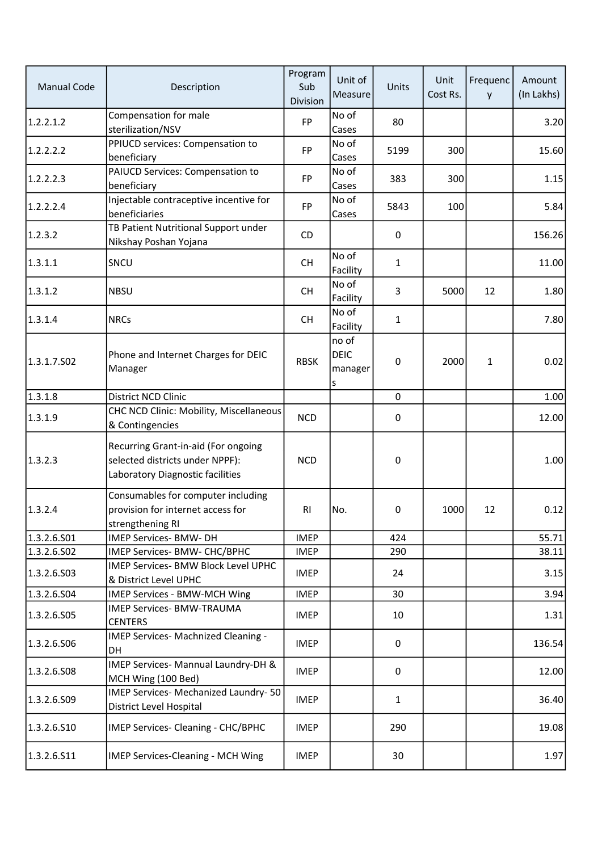| <b>Manual Code</b> | Description                                                                                                | Program<br>Sub<br>Division | Unit of<br>Measure                   | Units        | Unit<br>Cost Rs. | Frequenc<br>y | Amount<br>(In Lakhs) |
|--------------------|------------------------------------------------------------------------------------------------------------|----------------------------|--------------------------------------|--------------|------------------|---------------|----------------------|
| 1.2.2.1.2          | Compensation for male<br>sterilization/NSV                                                                 | <b>FP</b>                  | No of<br>Cases                       | 80           |                  |               | 3.20                 |
| 1.2.2.2.2          | PPIUCD services: Compensation to<br>beneficiary                                                            | <b>FP</b>                  | No of<br>Cases                       | 5199         | 300              |               | 15.60                |
| 1.2.2.2.3          | PAIUCD Services: Compensation to<br>beneficiary                                                            | <b>FP</b>                  | No of<br>Cases                       | 383          | 300              |               | 1.15                 |
| 1.2.2.2.4          | Injectable contraceptive incentive for<br>beneficiaries                                                    | <b>FP</b>                  | No of<br>Cases                       | 5843         | 100              |               | 5.84                 |
| 1.2.3.2            | TB Patient Nutritional Support under<br>Nikshay Poshan Yojana                                              | <b>CD</b>                  |                                      | 0            |                  |               | 156.26               |
| 1.3.1.1            | SNCU                                                                                                       | <b>CH</b>                  | No of<br>Facility                    | 1            |                  |               | 11.00                |
| 1.3.1.2            | <b>NBSU</b>                                                                                                | <b>CH</b>                  | No of<br>Facility                    | 3            | 5000             | 12            | 1.80                 |
| 1.3.1.4            | <b>NRCs</b>                                                                                                | <b>CH</b>                  | No of<br>Facility                    | 1            |                  |               | 7.80                 |
| 1.3.1.7.502        | Phone and Internet Charges for DEIC<br>Manager                                                             | <b>RBSK</b>                | no of<br><b>DEIC</b><br>manager<br>S | $\mathbf 0$  | 2000             | 1             | 0.02                 |
| 1.3.1.8            | District NCD Clinic                                                                                        |                            |                                      | $\mathbf 0$  |                  |               | 1.00                 |
| 1.3.1.9            | CHC NCD Clinic: Mobility, Miscellaneous<br>& Contingencies                                                 | <b>NCD</b>                 |                                      | 0            |                  |               | 12.00                |
| 1.3.2.3            | Recurring Grant-in-aid (For ongoing<br>selected districts under NPPF):<br>Laboratory Diagnostic facilities | <b>NCD</b>                 |                                      | $\pmb{0}$    |                  |               | 1.00                 |
| 1.3.2.4            | Consumables for computer including<br>provision for internet access for<br>strengthening RI                | R <sub>l</sub>             | No.                                  | $\pmb{0}$    | 1000             | 12            | 0.12                 |
| 1.3.2.6.501        | IMEP Services- BMW- DH                                                                                     | <b>IMEP</b>                |                                      | 424          |                  |               | 55.71                |
| 1.3.2.6.502        | IMEP Services- BMW- CHC/BPHC                                                                               | <b>IMEP</b>                |                                      | 290          |                  |               | 38.11                |
| 1.3.2.6.503        | IMEP Services- BMW Block Level UPHC<br>& District Level UPHC                                               | <b>IMEP</b>                |                                      | 24           |                  |               | 3.15                 |
| 1.3.2.6.504        | IMEP Services - BMW-MCH Wing                                                                               | <b>IMEP</b>                |                                      | 30           |                  |               | 3.94                 |
| 1.3.2.6.S05        | <b>IMEP Services- BMW-TRAUMA</b><br><b>CENTERS</b>                                                         | <b>IMEP</b>                |                                      | 10           |                  |               | 1.31                 |
| 1.3.2.6.506        | IMEP Services- Machnized Cleaning -<br>DH                                                                  | <b>IMEP</b>                |                                      | 0            |                  |               | 136.54               |
| 1.3.2.6.508        | IMEP Services- Mannual Laundry-DH &<br>MCH Wing (100 Bed)                                                  | <b>IMEP</b>                |                                      | 0            |                  |               | 12.00                |
| 1.3.2.6.509        | IMEP Services- Mechanized Laundry- 50<br>District Level Hospital                                           | <b>IMEP</b>                |                                      | $\mathbf{1}$ |                  |               | 36.40                |
| 1.3.2.6.S10        | IMEP Services- Cleaning - CHC/BPHC                                                                         | <b>IMEP</b>                |                                      | 290          |                  |               | 19.08                |
| 1.3.2.6.511        | <b>IMEP Services-Cleaning - MCH Wing</b>                                                                   | <b>IMEP</b>                |                                      | 30           |                  |               | 1.97                 |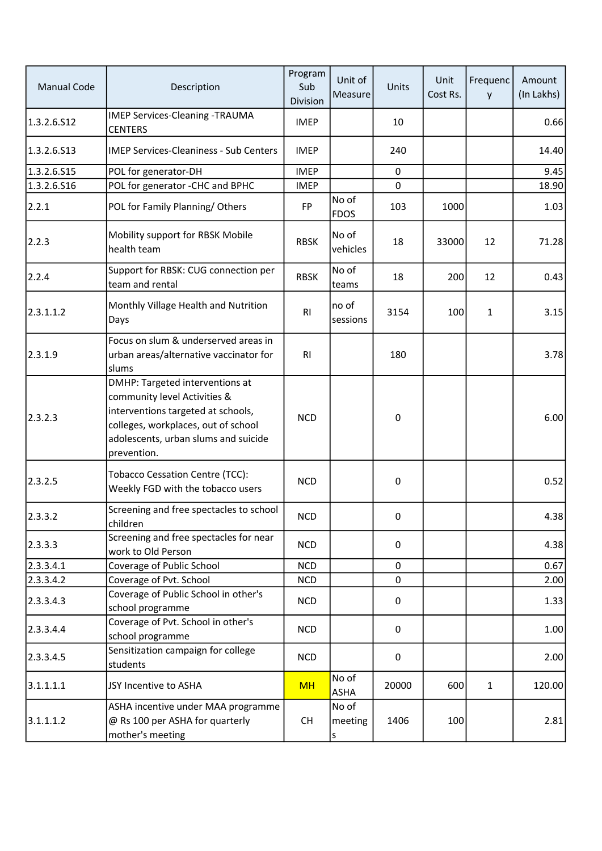| <b>Manual Code</b> | Description                                                                                                                                                                                         | Program<br>Sub<br>Division | Unit of<br>Measure    | Units            | Unit<br>Cost Rs. | Frequenc<br>y | Amount<br>(In Lakhs) |
|--------------------|-----------------------------------------------------------------------------------------------------------------------------------------------------------------------------------------------------|----------------------------|-----------------------|------------------|------------------|---------------|----------------------|
| 1.3.2.6.512        | <b>IMEP Services-Cleaning -TRAUMA</b><br><b>CENTERS</b>                                                                                                                                             | <b>IMEP</b>                |                       | 10               |                  |               | 0.66                 |
| 1.3.2.6.513        | <b>IMEP Services-Cleaniness - Sub Centers</b>                                                                                                                                                       | <b>IMEP</b>                |                       | 240              |                  |               | 14.40                |
| 1.3.2.6.S15        | POL for generator-DH                                                                                                                                                                                | <b>IMEP</b>                |                       | $\mathbf 0$      |                  |               | 9.45                 |
| 1.3.2.6.516        | POL for generator -CHC and BPHC                                                                                                                                                                     | <b>IMEP</b>                |                       | $\mathbf 0$      |                  |               | 18.90                |
| 2.2.1              | POL for Family Planning/Others                                                                                                                                                                      | FP                         | No of<br><b>FDOS</b>  | 103              | 1000             |               | 1.03                 |
| 2.2.3              | Mobility support for RBSK Mobile<br>health team                                                                                                                                                     | <b>RBSK</b>                | No of<br>vehicles     | 18               | 33000            | 12            | 71.28                |
| 2.2.4              | Support for RBSK: CUG connection per<br>team and rental                                                                                                                                             | <b>RBSK</b>                | No of<br>teams        | 18               | 200              | 12            | 0.43                 |
| 2.3.1.1.2          | Monthly Village Health and Nutrition<br>Days                                                                                                                                                        | R <sub>l</sub>             | no of<br>sessions     | 3154             | 100              | 1             | 3.15                 |
| 2.3.1.9            | Focus on slum & underserved areas in<br>urban areas/alternative vaccinator for<br>slums                                                                                                             | R <sub>l</sub>             |                       | 180              |                  |               | 3.78                 |
| 2.3.2.3            | DMHP: Targeted interventions at<br>community level Activities &<br>interventions targeted at schools,<br>colleges, workplaces, out of school<br>adolescents, urban slums and suicide<br>prevention. | <b>NCD</b>                 |                       | $\boldsymbol{0}$ |                  |               | 6.00                 |
| 2.3.2.5            | <b>Tobacco Cessation Centre (TCC):</b><br>Weekly FGD with the tobacco users                                                                                                                         | <b>NCD</b>                 |                       | $\pmb{0}$        |                  |               | 0.52                 |
| 2.3.3.2            | Screening and free spectacles to school<br>children                                                                                                                                                 | <b>NCD</b>                 |                       | 0                |                  |               | 4.38                 |
| 2.3.3.3            | Screening and free spectacles for near<br>work to Old Person                                                                                                                                        | <b>NCD</b>                 |                       | 0                |                  |               | 4.38                 |
| 2.3.3.4.1          | Coverage of Public School                                                                                                                                                                           | <b>NCD</b>                 |                       | 0                |                  |               | 0.67                 |
| 2.3.3.4.2          | Coverage of Pvt. School                                                                                                                                                                             | <b>NCD</b>                 |                       | $\pmb{0}$        |                  |               | 2.00                 |
| 2.3.3.4.3          | Coverage of Public School in other's<br>school programme                                                                                                                                            | <b>NCD</b>                 |                       | 0                |                  |               | 1.33                 |
| 2.3.3.4.4          | Coverage of Pvt. School in other's<br>school programme                                                                                                                                              | <b>NCD</b>                 |                       | 0                |                  |               | 1.00                 |
| 2.3.3.4.5          | Sensitization campaign for college<br>students                                                                                                                                                      | <b>NCD</b>                 |                       | 0                |                  |               | 2.00                 |
| 3.1.1.1.1          | JSY Incentive to ASHA                                                                                                                                                                               | <b>MH</b>                  | No of<br>ASHA         | 20000            | 600              | $\mathbf{1}$  | 120.00               |
| 3.1.1.1.2          | ASHA incentive under MAA programme<br>@ Rs 100 per ASHA for quarterly<br>mother's meeting                                                                                                           | <b>CH</b>                  | No of<br>meeting<br>S | 1406             | 100              |               | 2.81                 |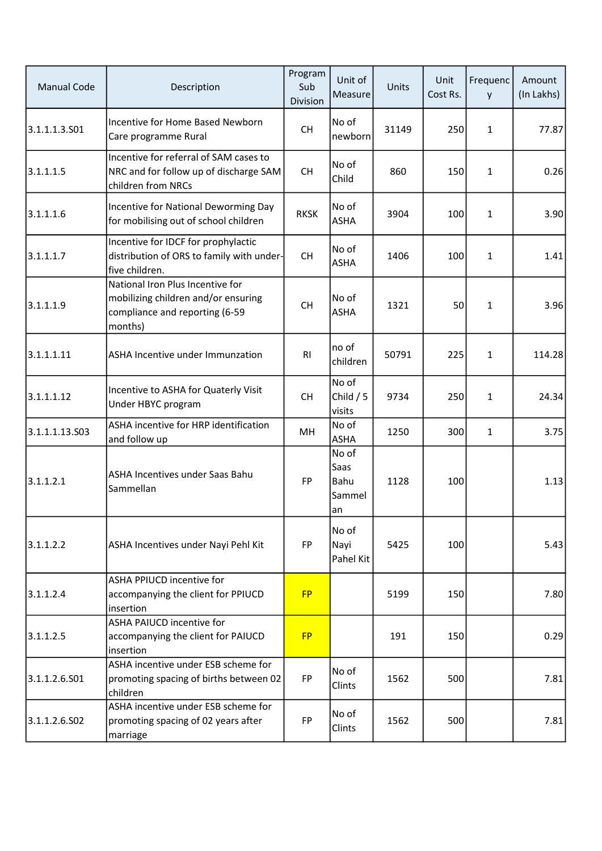| <b>Manual Code</b> | Description                                                                                                          | Program<br>Sub<br>Division | Unit of<br>Measure                    | Units | Unit<br>Cost Rs. | Frequenc<br>y | Amount<br>(In Lakhs) |
|--------------------|----------------------------------------------------------------------------------------------------------------------|----------------------------|---------------------------------------|-------|------------------|---------------|----------------------|
| 3.1.1.1.3.501      | Incentive for Home Based Newborn<br>Care programme Rural                                                             | <b>CH</b>                  | No of<br>newborn                      | 31149 | 250              | $\mathbf{1}$  | 77.87                |
| 3.1.1.1.5          | Incentive for referral of SAM cases to<br>NRC and for follow up of discharge SAM<br>children from NRCs               | <b>CH</b>                  | No of<br>Child                        | 860   | 150              | $\mathbf{1}$  | 0.26                 |
| 3.1.1.1.6          | Incentive for National Deworming Day<br>for mobilising out of school children                                        | <b>RKSK</b>                | No of<br><b>ASHA</b>                  | 3904  | 100              | 1             | 3.90                 |
| 3.1.1.1.7          | Incentive for IDCF for prophylactic<br>distribution of ORS to family with under-<br>five children.                   | <b>CH</b>                  | No of<br><b>ASHA</b>                  | 1406  | 100              | 1             | 1.41                 |
| 3.1.1.1.9          | National Iron Plus Incentive for<br>mobilizing children and/or ensuring<br>compliance and reporting (6-59<br>months) | <b>CH</b>                  | No of<br><b>ASHA</b>                  | 1321  | 50               | 1             | 3.96                 |
| 3.1.1.1.11         | ASHA Incentive under Immunzation                                                                                     | RI                         | no of<br>children                     | 50791 | 225              | 1             | 114.28               |
| 3.1.1.1.12         | Incentive to ASHA for Quaterly Visit<br>Under HBYC program                                                           | <b>CH</b>                  | No of<br>Child $/5$<br>visits         | 9734  | 250              | 1             | 24.34                |
| 3.1.1.1.13.S03     | ASHA incentive for HRP identification<br>and follow up                                                               | MН                         | No of<br><b>ASHA</b>                  | 1250  | 300              | $\mathbf{1}$  | 3.75                 |
| 3.1.1.2.1          | ASHA Incentives under Saas Bahu<br>Sammellan                                                                         | <b>FP</b>                  | No of<br>Saas<br>Bahu<br>Sammel<br>an | 1128  | 100              |               | 1.13                 |
| 3.1.1.2.2          | ASHA Incentives under Nayi Pehl Kit                                                                                  | <b>FP</b>                  | No of<br>Nayi<br>Pahel Kit            | 5425  | 100              |               | 5.43                 |
| 3.1.1.2.4          | ASHA PPIUCD incentive for<br>accompanying the client for PPIUCD<br>insertion                                         | <b>FP</b>                  |                                       | 5199  | 150              |               | 7.80                 |
| 3.1.1.2.5          | ASHA PAIUCD incentive for<br>accompanying the client for PAIUCD<br>insertion                                         | <b>FP</b>                  |                                       | 191   | 150              |               | 0.29                 |
| 3.1.1.2.6.S01      | ASHA incentive under ESB scheme for<br>promoting spacing of births between 02<br>children                            | <b>FP</b>                  | No of<br>Clints                       | 1562  | 500              |               | 7.81                 |
| 3.1.1.2.6.S02      | ASHA incentive under ESB scheme for<br>promoting spacing of 02 years after<br>marriage                               | <b>FP</b>                  | No of<br>Clints                       | 1562  | 500              |               | 7.81                 |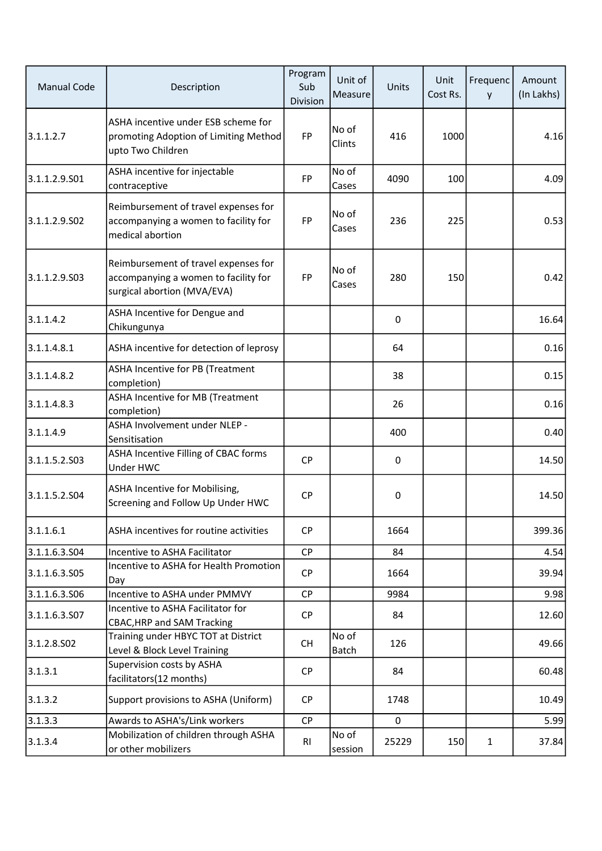| <b>Manual Code</b> | Description                                                                                                 | Program<br>Sub<br>Division | Unit of<br><b>Measure</b> | Units            | Unit<br>Cost Rs. | Frequenc<br>y | Amount<br>(In Lakhs) |
|--------------------|-------------------------------------------------------------------------------------------------------------|----------------------------|---------------------------|------------------|------------------|---------------|----------------------|
| 3.1.1.2.7          | ASHA incentive under ESB scheme for<br>promoting Adoption of Limiting Method<br>upto Two Children           | <b>FP</b>                  | No of<br>Clints           | 416              | 1000             |               | 4.16                 |
| 3.1.1.2.9.501      | ASHA incentive for injectable<br>contraceptive                                                              | FP                         | No of<br>Cases            | 4090             | 100              |               | 4.09                 |
| 3.1.1.2.9.502      | Reimbursement of travel expenses for<br>accompanying a women to facility for<br>medical abortion            | <b>FP</b>                  | No of<br>Cases            | 236              | 225              |               | 0.53                 |
| 3.1.1.2.9.503      | Reimbursement of travel expenses for<br>accompanying a women to facility for<br>surgical abortion (MVA/EVA) | <b>FP</b>                  | No of<br>Cases            | 280              | 150              |               | 0.42                 |
| 3.1.1.4.2          | ASHA Incentive for Dengue and<br>Chikungunya                                                                |                            |                           | $\pmb{0}$        |                  |               | 16.64                |
| 3.1.1.4.8.1        | ASHA incentive for detection of leprosy                                                                     |                            |                           | 64               |                  |               | 0.16                 |
| 3.1.1.4.8.2        | ASHA Incentive for PB (Treatment<br>completion)                                                             |                            |                           | 38               |                  |               | 0.15                 |
| 3.1.1.4.8.3        | ASHA Incentive for MB (Treatment<br>completion)                                                             |                            |                           | 26               |                  |               | 0.16                 |
| 3.1.1.4.9          | ASHA Involvement under NLEP -<br>Sensitisation                                                              |                            |                           | 400              |                  |               | 0.40                 |
| 3.1.1.5.2.503      | ASHA Incentive Filling of CBAC forms<br>Under HWC                                                           | <b>CP</b>                  |                           | $\pmb{0}$        |                  |               | 14.50                |
| 3.1.1.5.2.504      | ASHA Incentive for Mobilising,<br>Screening and Follow Up Under HWC                                         | CP                         |                           | $\boldsymbol{0}$ |                  |               | 14.50                |
| 3.1.1.6.1          | ASHA incentives for routine activities                                                                      | <b>CP</b>                  |                           | 1664             |                  |               | 399.36               |
| 3.1.1.6.3.504      | Incentive to ASHA Facilitator                                                                               | CP                         |                           | 84               |                  |               | 4.54                 |
| 3.1.1.6.3.S05      | Incentive to ASHA for Health Promotion<br>Day                                                               | <b>CP</b>                  |                           | 1664             |                  |               | 39.94                |
| 3.1.1.6.3.506      | Incentive to ASHA under PMMVY                                                                               | CP                         |                           | 9984             |                  |               | 9.98                 |
| 3.1.1.6.3.507      | Incentive to ASHA Facilitator for<br><b>CBAC, HRP and SAM Tracking</b>                                      | <b>CP</b>                  |                           | 84               |                  |               | 12.60                |
| 3.1.2.8.502        | Training under HBYC TOT at District<br>Level & Block Level Training                                         | <b>CH</b>                  | No of<br>Batch            | 126              |                  |               | 49.66                |
| 3.1.3.1            | Supervision costs by ASHA<br>facilitators(12 months)                                                        | <b>CP</b>                  |                           | 84               |                  |               | 60.48                |
| 3.1.3.2            | Support provisions to ASHA (Uniform)                                                                        | <b>CP</b>                  |                           | 1748             |                  |               | 10.49                |
| 3.1.3.3            | Awards to ASHA's/Link workers                                                                               | <b>CP</b>                  |                           | $\mathbf 0$      |                  |               | 5.99                 |
| 3.1.3.4            | Mobilization of children through ASHA<br>or other mobilizers                                                | R <sub>l</sub>             | No of<br>session          | 25229            | 150              | $\mathbf{1}$  | 37.84                |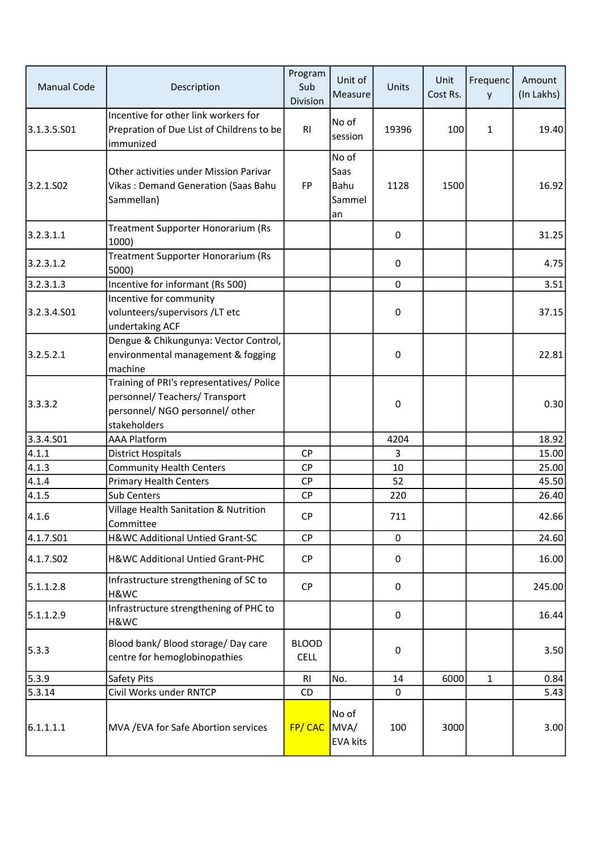| <b>Manual Code</b> | Description                                                                                                                    | Program<br>Sub<br>Division  | Unit of<br>Measure                    | Units            | Unit<br>Cost Rs. | Frequenc<br>y | Amount<br>(In Lakhs) |
|--------------------|--------------------------------------------------------------------------------------------------------------------------------|-----------------------------|---------------------------------------|------------------|------------------|---------------|----------------------|
| 3.1.3.5.501        | Incentive for other link workers for<br>Prepration of Due List of Childrens to be<br>immunized                                 | R <sub>1</sub>              | No of<br>session                      | 19396            | 100              | $\mathbf{1}$  | 19.40                |
| 3.2.1.502          | Other activities under Mission Parivar<br>Vikas: Demand Generation (Saas Bahu<br>Sammellan)                                    | FP                          | No of<br>Saas<br>Bahu<br>Sammel<br>an | 1128             | 1500             |               | 16.92                |
| 3.2.3.1.1          | Treatment Supporter Honorarium (Rs<br>1000)                                                                                    |                             |                                       | $\pmb{0}$        |                  |               | 31.25                |
| 3.2.3.1.2          | Treatment Supporter Honorarium (Rs<br>5000)                                                                                    |                             |                                       | $\mathbf 0$      |                  |               | 4.75                 |
| 3.2.3.1.3          | Incentive for informant (Rs 500)                                                                                               |                             |                                       | $\mathbf 0$      |                  |               | 3.51                 |
| 3.2.3.4.501        | Incentive for community<br>volunteers/supervisors/LT etc<br>undertaking ACF                                                    |                             |                                       | $\pmb{0}$        |                  |               | 37.15                |
| 3.2.5.2.1          | Dengue & Chikungunya: Vector Control,<br>environmental management & fogging<br>machine                                         |                             |                                       | $\pmb{0}$        |                  |               | 22.81                |
| 3.3.3.2            | Training of PRI's representatives/ Police<br>personnel/ Teachers/ Transport<br>personnel/ NGO personnel/ other<br>stakeholders |                             |                                       | $\pmb{0}$        |                  |               | 0.30                 |
| 3.3.4.501          | <b>AAA Platform</b>                                                                                                            |                             |                                       | 4204             |                  |               | 18.92                |
| 4.1.1              | <b>District Hospitals</b>                                                                                                      | <b>CP</b>                   |                                       | 3                |                  |               | 15.00                |
| 4.1.3              | <b>Community Health Centers</b>                                                                                                | <b>CP</b>                   |                                       | 10               |                  |               | 25.00                |
| 4.1.4              | <b>Primary Health Centers</b>                                                                                                  | <b>CP</b>                   |                                       | 52               |                  |               | 45.50                |
| 4.1.5              | Sub Centers                                                                                                                    | CP                          |                                       | 220              |                  |               | 26.40                |
| 4.1.6              | Village Health Sanitation & Nutrition<br>Committee                                                                             | CP                          |                                       | 711              |                  |               | 42.66                |
| 4.1.7.501          | H&WC Additional Untied Grant-SC                                                                                                | <b>CP</b>                   |                                       | 0                |                  |               | 24.60                |
| 4.1.7.502          | H&WC Additional Untied Grant-PHC                                                                                               | <b>CP</b>                   |                                       | $\mathbf 0$      |                  |               | 16.00                |
| 5.1.1.2.8          | Infrastructure strengthening of SC to<br>H&WC                                                                                  | <b>CP</b>                   |                                       | $\boldsymbol{0}$ |                  |               | 245.00               |
| 5.1.1.2.9          | Infrastructure strengthening of PHC to<br>H&WC                                                                                 |                             |                                       | $\pmb{0}$        |                  |               | 16.44                |
| 5.3.3              | Blood bank/ Blood storage/ Day care<br>centre for hemoglobinopathies                                                           | <b>BLOOD</b><br><b>CELL</b> |                                       | $\pmb{0}$        |                  |               | 3.50                 |
| 5.3.9              | Safety Pits                                                                                                                    | R <sub>l</sub>              | No.                                   | 14               | 6000             | 1             | 0.84                 |
| 5.3.14             | Civil Works under RNTCP                                                                                                        | CD                          |                                       | 0                |                  |               | 5.43                 |
| 6.1.1.1.1          | MVA / EVA for Safe Abortion services                                                                                           | FP/CAC                      | No of<br>MVA/<br><b>EVA kits</b>      | 100              | 3000             |               | 3.00                 |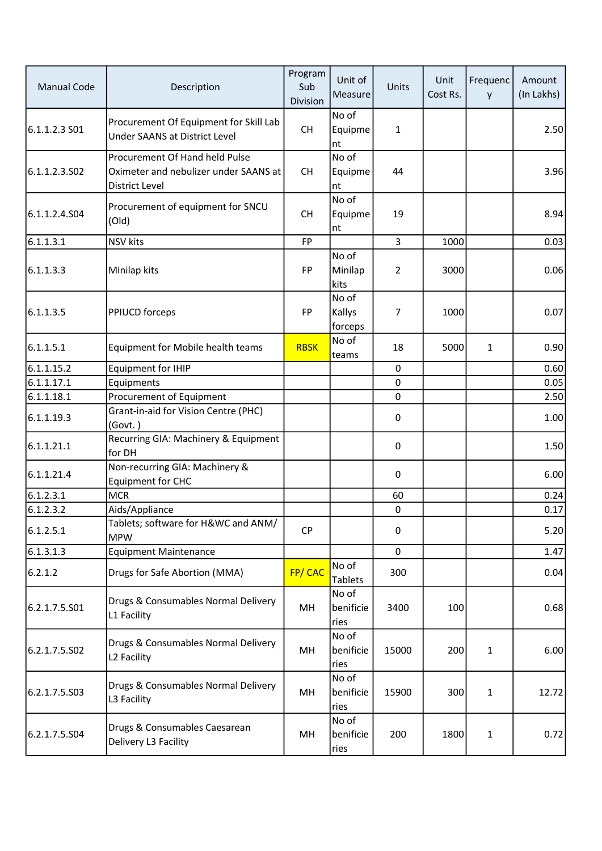| <b>Manual Code</b> | Description                                                                                      | Program<br>Sub<br>Division | Unit of<br>Measure         | Units          | Unit<br>Cost Rs. | Frequenc<br>y | Amount<br>(In Lakhs) |
|--------------------|--------------------------------------------------------------------------------------------------|----------------------------|----------------------------|----------------|------------------|---------------|----------------------|
| 6.1.1.2.3 S01      | Procurement Of Equipment for Skill Lab<br>Under SAANS at District Level                          | <b>CH</b>                  | No of<br>Equipme<br>nt     | 1              |                  |               | 2.50                 |
| 6.1.1.2.3.502      | Procurement Of Hand held Pulse<br>Oximeter and nebulizer under SAANS at<br><b>District Level</b> | <b>CH</b>                  | No of<br>Equipme<br>nt     | 44             |                  |               | 3.96                 |
| 6.1.1.2.4.504      | Procurement of equipment for SNCU<br>(Old)                                                       | <b>CH</b>                  | No of<br>Equipme<br>nt     | 19             |                  |               | 8.94                 |
| 6.1.1.3.1          | <b>NSV</b> kits                                                                                  | <b>FP</b>                  |                            | 3              | 1000             |               | 0.03                 |
| 6.1.1.3.3          | Minilap kits                                                                                     | FP                         | No of<br>Minilap<br>kits   | $\overline{2}$ | 3000             |               | 0.06                 |
| 6.1.1.3.5          | PPIUCD forceps                                                                                   | <b>FP</b>                  | No of<br>Kallys<br>forceps | 7              | 1000             |               | 0.07                 |
| 6.1.1.5.1          | Equipment for Mobile health teams                                                                | <b>RBSK</b>                | No of<br>teams             | 18             | 5000             | 1             | 0.90                 |
| 6.1.1.15.2         | <b>Equipment for IHIP</b>                                                                        |                            |                            | $\mathbf 0$    |                  |               | 0.60                 |
| 6.1.1.17.1         | Equipments                                                                                       |                            |                            | $\pmb{0}$      |                  |               | 0.05                 |
| 6.1.1.18.1         | Procurement of Equipment                                                                         |                            |                            | 0              |                  |               | 2.50                 |
| 6.1.1.19.3         | Grant-in-aid for Vision Centre (PHC)<br>(Govt.)                                                  |                            |                            | $\mathbf 0$    |                  |               | 1.00                 |
| 6.1.1.21.1         | Recurring GIA: Machinery & Equipment<br>for DH                                                   |                            |                            | 0              |                  |               | 1.50                 |
| 6.1.1.21.4         | Non-recurring GIA: Machinery &<br><b>Equipment for CHC</b>                                       |                            |                            | $\pmb{0}$      |                  |               | 6.00                 |
| 6.1.2.3.1          | <b>MCR</b>                                                                                       |                            |                            | 60             |                  |               | 0.24                 |
| 6.1.2.3.2          | Aids/Appliance                                                                                   |                            |                            | $\mathbf 0$    |                  |               | 0.17                 |
| 6.1.2.5.1          | Tablets; software for H&WC and ANM/<br><b>MPW</b>                                                | <b>CP</b>                  |                            | 0              |                  |               | 5.20                 |
| 6.1.3.1.3          | <b>Equipment Maintenance</b>                                                                     |                            |                            | $\mathbf 0$    |                  |               | 1.47                 |
| 6.2.1.2            | Drugs for Safe Abortion (MMA)                                                                    | FP/CAC                     | No of<br><b>Tablets</b>    | 300            |                  |               | 0.04                 |
| 6.2.1.7.5.501      | Drugs & Consumables Normal Delivery<br>L1 Facility                                               | MH                         | No of<br>benificie<br>ries | 3400           | 100              |               | 0.68                 |
| 6.2.1.7.5.S02      | Drugs & Consumables Normal Delivery<br>L2 Facility                                               | MH                         | No of<br>benificie<br>ries | 15000          | 200              | 1             | 6.00                 |
| 6.2.1.7.5.903      | Drugs & Consumables Normal Delivery<br>L3 Facility                                               | MH                         | No of<br>benificie<br>ries | 15900          | 300              | 1             | 12.72                |
| 6.2.1.7.5.S04      | Drugs & Consumables Caesarean<br>Delivery L3 Facility                                            | MH                         | No of<br>benificie<br>ries | 200            | 1800             | 1             | 0.72                 |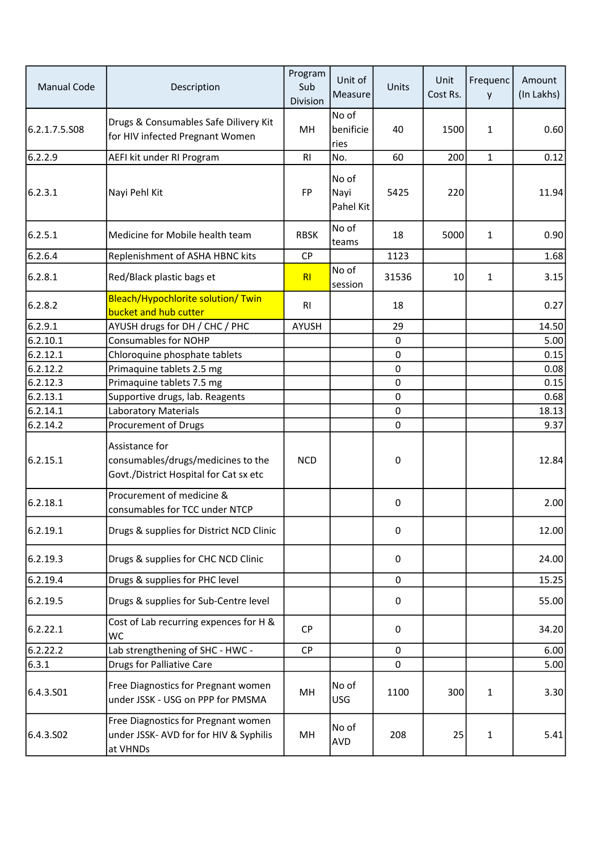| <b>Manual Code</b> | Description                                                                                    | Program<br>Sub<br><b>Division</b> | Unit of<br>Measure         | <b>Units</b>     | Unit<br>Cost Rs. | Frequenc<br>y | Amount<br>(In Lakhs) |
|--------------------|------------------------------------------------------------------------------------------------|-----------------------------------|----------------------------|------------------|------------------|---------------|----------------------|
| 6.2.1.7.5.S08      | Drugs & Consumables Safe Dilivery Kit<br>for HIV infected Pregnant Women                       | MH                                | No of<br>benificie<br>ries | 40               | 1500             | $\mathbf{1}$  | 0.60                 |
| 6.2.2.9            | AEFI kit under RI Program                                                                      | R <sub>l</sub>                    | No.                        | 60               | 200              | $\mathbf{1}$  | 0.12                 |
| 6.2.3.1            | Nayi Pehl Kit                                                                                  | <b>FP</b>                         | No of<br>Nayi<br>Pahel Kit | 5425             | 220              |               | 11.94                |
| 6.2.5.1            | Medicine for Mobile health team                                                                | <b>RBSK</b>                       | No of<br>teams             | 18               | 5000             | $\mathbf{1}$  | 0.90                 |
| 6.2.6.4            | Replenishment of ASHA HBNC kits                                                                | <b>CP</b>                         |                            | 1123             |                  |               | 1.68                 |
| 6.2.8.1            | Red/Black plastic bags et                                                                      | R <sub>l</sub>                    | No of<br>session           | 31536            | 10               | $\mathbf{1}$  | 3.15                 |
| 6.2.8.2            | <b>Bleach/Hypochlorite solution/ Twin</b><br>bucket and hub cutter                             | R <sub>l</sub>                    |                            | 18               |                  |               | 0.27                 |
| 6.2.9.1            | AYUSH drugs for DH / CHC / PHC                                                                 | <b>AYUSH</b>                      |                            | 29               |                  |               | 14.50                |
| 6.2.10.1           | <b>Consumables for NOHP</b>                                                                    |                                   |                            | $\mathbf 0$      |                  |               | 5.00                 |
| 6.2.12.1           | Chloroquine phosphate tablets                                                                  |                                   |                            | $\mathbf 0$      |                  |               | 0.15                 |
| 6.2.12.2           | Primaquine tablets 2.5 mg                                                                      |                                   |                            | 0                |                  |               | 0.08                 |
| 6.2.12.3           | Primaquine tablets 7.5 mg                                                                      |                                   |                            | $\pmb{0}$        |                  |               | 0.15                 |
| 6.2.13.1           | Supportive drugs, lab. Reagents                                                                |                                   |                            | 0                |                  |               | 0.68                 |
| 6.2.14.1           | <b>Laboratory Materials</b>                                                                    |                                   |                            | 0                |                  |               | 18.13                |
| 6.2.14.2           | Procurement of Drugs                                                                           |                                   |                            | $\mathbf 0$      |                  |               | 9.37                 |
| 6.2.15.1           | Assistance for<br>consumables/drugs/medicines to the<br>Govt./District Hospital for Cat sx etc | <b>NCD</b>                        |                            | 0                |                  |               | 12.84                |
| 6.2.18.1           | Procurement of medicine &<br>consumables for TCC under NTCP                                    |                                   |                            | 0                |                  |               | 2.00                 |
| 6.2.19.1           | Drugs & supplies for District NCD Clinic                                                       |                                   |                            | $\pmb{0}$        |                  |               | 12.00                |
| 6.2.19.3           | Drugs & supplies for CHC NCD Clinic                                                            |                                   |                            | $\mathbf 0$      |                  |               | 24.00                |
| 6.2.19.4           | Drugs & supplies for PHC level                                                                 |                                   |                            | 0                |                  |               | 15.25                |
| 6.2.19.5           | Drugs & supplies for Sub-Centre level                                                          |                                   |                            | $\boldsymbol{0}$ |                  |               | 55.00                |
| 6.2.22.1           | Cost of Lab recurring expences for H &<br><b>WC</b>                                            | <b>CP</b>                         |                            | $\boldsymbol{0}$ |                  |               | 34.20                |
| 6.2.22.2           | Lab strengthening of SHC - HWC -                                                               | <b>CP</b>                         |                            | 0                |                  |               | 6.00                 |
| 6.3.1              | <b>Drugs for Palliative Care</b>                                                               |                                   |                            | $\pmb{0}$        |                  |               | 5.00                 |
| 6.4.3.501          | Free Diagnostics for Pregnant women<br>under JSSK - USG on PPP for PMSMA                       | MH                                | No of<br><b>USG</b>        | 1100             | 300              | 1             | 3.30                 |
| 6.4.3.502          | Free Diagnostics for Pregnant women<br>under JSSK- AVD for for HIV & Syphilis<br>at VHNDs      | MH                                | No of<br>AVD               | 208              | 25               | $\mathbf{1}$  | 5.41                 |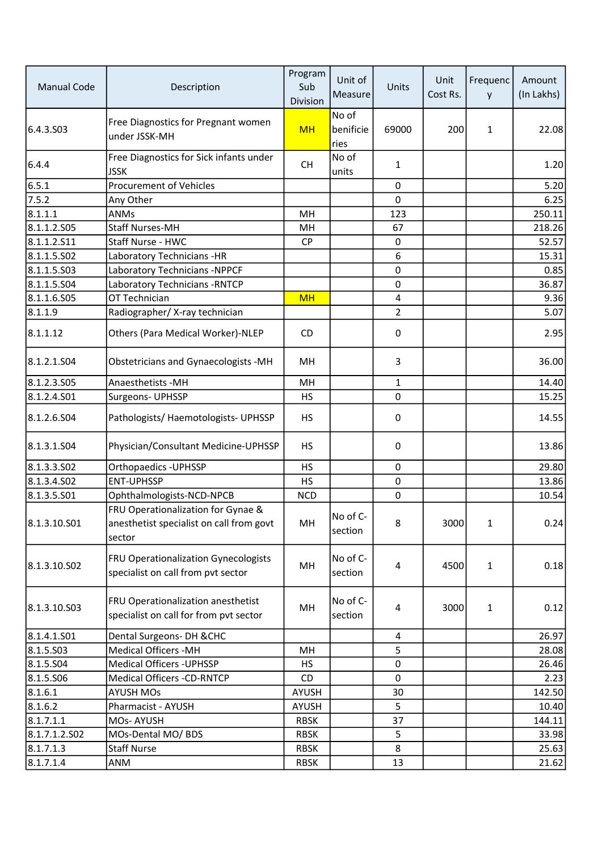| <b>Manual Code</b> | Description                                                                              | Program<br>Sub<br>Division | Unit of<br>Measure         | Units        | Unit<br>Cost Rs. | Frequenc<br>y | Amount<br>(In Lakhs) |
|--------------------|------------------------------------------------------------------------------------------|----------------------------|----------------------------|--------------|------------------|---------------|----------------------|
| 6.4.3.503          | Free Diagnostics for Pregnant women<br>under JSSK-MH                                     | <b>MH</b>                  | No of<br>benificie<br>ries | 69000        | 200              | 1             | 22.08                |
| 6.4.4              | Free Diagnostics for Sick infants under<br><b>JSSK</b>                                   | <b>CH</b>                  | No of<br>units             | 1            |                  |               | 1.20                 |
| 6.5.1              | <b>Procurement of Vehicles</b>                                                           |                            |                            | $\mathbf 0$  |                  |               | 5.20                 |
| 7.5.2              | Any Other                                                                                |                            |                            | $\mathbf 0$  |                  |               | 6.25                 |
| 8.1.1.1            | ANMs                                                                                     | MH                         |                            | 123          |                  |               | 250.11               |
| 8.1.1.2.505        | <b>Staff Nurses-MH</b>                                                                   | MH                         |                            | 67           |                  |               | 218.26               |
| 8.1.1.2.511        | Staff Nurse - HWC                                                                        | <b>CP</b>                  |                            | 0            |                  |               | 52.57                |
| 8.1.1.5.502        | Laboratory Technicians -HR                                                               |                            |                            | 6            |                  |               | 15.31                |
| 8.1.1.5.503        | Laboratory Technicians -NPPCF                                                            |                            |                            | 0            |                  |               | 0.85                 |
| 8.1.1.5.504        | Laboratory Technicians - RNTCP                                                           |                            |                            | 0            |                  |               | 36.87                |
| 8.1.1.6.S05        | OT Technician                                                                            | <b>MH</b>                  |                            | 4            |                  |               | 9.36                 |
| 8.1.1.9            | Radiographer/X-ray technician                                                            |                            |                            | 2            |                  |               | 5.07                 |
| 8.1.1.12           | Others (Para Medical Worker)-NLEP                                                        | CD.                        |                            | 0            |                  |               | 2.95                 |
| 8.1.2.1.504        | Obstetricians and Gynaecologists -MH                                                     | MH                         |                            | 3            |                  |               | 36.00                |
| 8.1.2.3.505        | Anaesthetists - MH                                                                       | MH                         |                            | $\mathbf{1}$ |                  |               | 14.40                |
| 8.1.2.4.S01        | Surgeons- UPHSSP                                                                         | <b>HS</b>                  |                            | $\Omega$     |                  |               | 15.25                |
| 8.1.2.6.504        | Pathologists/ Haemotologists- UPHSSP                                                     | <b>HS</b>                  |                            | $\mathbf 0$  |                  |               | 14.55                |
| 8.1.3.1.504        | Physician/Consultant Medicine-UPHSSP                                                     | <b>HS</b>                  |                            | 0            |                  |               | 13.86                |
| 8.1.3.3.502        | Orthopaedics - UPHSSP                                                                    | <b>HS</b>                  |                            | $\mathbf 0$  |                  |               | 29.80                |
| 8.1.3.4.502        | <b>ENT-UPHSSP</b>                                                                        | <b>HS</b>                  |                            | $\mathbf 0$  |                  |               | 13.86                |
| 8.1.3.5.501        | Ophthalmologists-NCD-NPCB                                                                | <b>NCD</b>                 |                            | $\mathbf 0$  |                  |               | 10.54                |
| 8.1.3.10.501       | FRU Operationalization for Gynae &<br>anesthetist specialist on call from govt<br>sector | MН                         | No of C-<br>section        | 8            | 3000             | $\mathbf{1}$  | 0.24                 |
| 8.1.3.10.502       | FRU Operationalization Gynecologists<br>specialist on call from pvt sector               | MH                         | No of C-<br>section        | 4            | 4500             | 1             | 0.18                 |
| 8.1.3.10.503       | FRU Operationalization anesthetist<br>specialist on call for from pvt sector             | MH                         | No of C-<br>section        | 4            | 3000             | 1             | 0.12                 |
| 8.1.4.1.S01        | Dental Surgeons- DH & CHC                                                                |                            |                            | 4            |                  |               | 26.97                |
| 8.1.5.503          | <b>Medical Officers -MH</b>                                                              | MН                         |                            | 5            |                  |               | 28.08                |
| 8.1.5.504          | <b>Medical Officers - UPHSSP</b>                                                         | <b>HS</b>                  |                            | 0            |                  |               | 26.46                |
| 8.1.5.506          | Medical Officers -CD-RNTCP                                                               | CD.                        |                            | $\mathbf 0$  |                  |               | 2.23                 |
| 8.1.6.1            | <b>AYUSH MOs</b>                                                                         | AYUSH                      |                            | 30           |                  |               | 142.50               |
| 8.1.6.2            | Pharmacist - AYUSH                                                                       | AYUSH                      |                            | 5            |                  |               | 10.40                |
| 8.1.7.1.1          | MOs-AYUSH                                                                                | <b>RBSK</b>                |                            | 37           |                  |               | 144.11               |
| 8.1.7.1.2.502      | MOs-Dental MO/ BDS                                                                       | <b>RBSK</b>                |                            | 5            |                  |               | 33.98                |
| 8.1.7.1.3          | <b>Staff Nurse</b>                                                                       | <b>RBSK</b>                |                            | 8            |                  |               | 25.63                |
| 8.1.7.1.4          | ANM                                                                                      | <b>RBSK</b>                |                            | 13           |                  |               | 21.62                |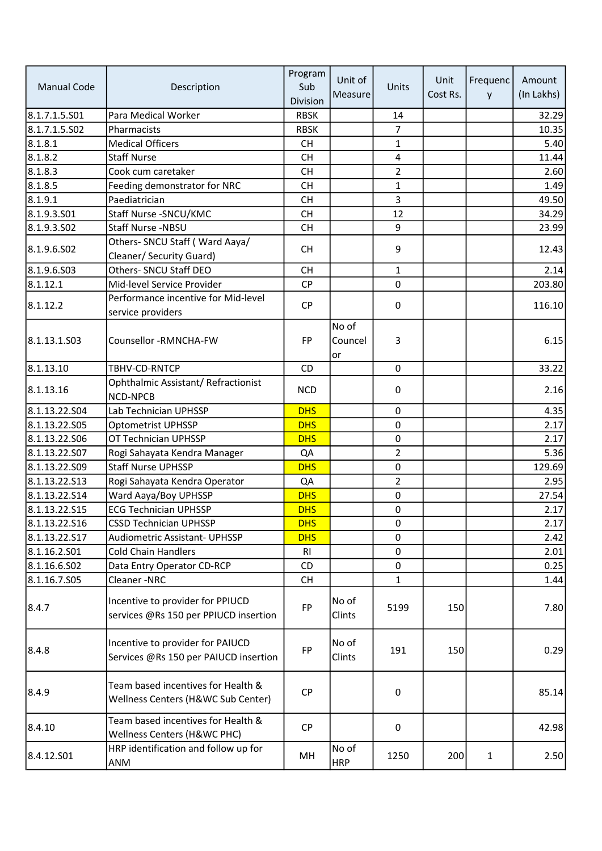|                    |                                                                           | Program     | Unit of             |                  | Unit     | Frequenc | Amount     |
|--------------------|---------------------------------------------------------------------------|-------------|---------------------|------------------|----------|----------|------------|
| <b>Manual Code</b> | Description                                                               | Sub         | Measure             | Units            | Cost Rs. | y        | (In Lakhs) |
|                    |                                                                           | Division    |                     |                  |          |          |            |
| 8.1.7.1.5.S01      | Para Medical Worker                                                       | <b>RBSK</b> |                     | 14               |          |          | 32.29      |
| 8.1.7.1.5.S02      | Pharmacists                                                               | <b>RBSK</b> |                     | $\overline{7}$   |          |          | 10.35      |
| 8.1.8.1            | <b>Medical Officers</b>                                                   | <b>CH</b>   |                     | $\mathbf{1}$     |          |          | 5.40       |
| 8.1.8.2            | <b>Staff Nurse</b>                                                        | <b>CH</b>   |                     | 4                |          |          | 11.44      |
| 8.1.8.3            | Cook cum caretaker                                                        | <b>CH</b>   |                     | $\overline{a}$   |          |          | 2.60       |
| 8.1.8.5            | Feeding demonstrator for NRC                                              | <b>CH</b>   |                     | $\mathbf{1}$     |          |          | 1.49       |
| 8.1.9.1            | Paediatrician                                                             | <b>CH</b>   |                     | 3                |          |          | 49.50      |
| 8.1.9.3.501        | Staff Nurse - SNCU/KMC                                                    | <b>CH</b>   |                     | 12               |          |          | 34.29      |
| 8.1.9.3.502        | Staff Nurse -NBSU                                                         | <b>CH</b>   |                     | 9                |          |          | 23.99      |
| 8.1.9.6.502        | Others- SNCU Staff (Ward Aaya/                                            | <b>CH</b>   |                     | 9                |          |          | 12.43      |
|                    | Cleaner/ Security Guard)                                                  |             |                     |                  |          |          |            |
| 8.1.9.6.503        | Others- SNCU Staff DEO                                                    | <b>CH</b>   |                     | $\mathbf{1}$     |          |          | 2.14       |
| 8.1.12.1           | Mid-level Service Provider                                                | <b>CP</b>   |                     | $\pmb{0}$        |          |          | 203.80     |
| 8.1.12.2           | Performance incentive for Mid-level                                       | <b>CP</b>   |                     | $\boldsymbol{0}$ |          |          | 116.10     |
|                    | service providers                                                         |             |                     |                  |          |          |            |
|                    |                                                                           |             | No of               |                  |          |          |            |
| 8.1.13.1.503       | Counsellor -RMNCHA-FW                                                     | <b>FP</b>   | Councel             | 3                |          |          | 6.15       |
|                    |                                                                           |             | or                  |                  |          |          |            |
| 8.1.13.10          | TBHV-CD-RNTCP                                                             | <b>CD</b>   |                     | $\mathbf 0$      |          |          | 33.22      |
| 8.1.13.16          | Ophthalmic Assistant/ Refractionist<br><b>NCD-NPCB</b>                    | <b>NCD</b>  |                     | $\boldsymbol{0}$ |          |          | 2.16       |
| 8.1.13.22.S04      | Lab Technician UPHSSP                                                     | <b>DHS</b>  |                     | $\mathbf 0$      |          |          | 4.35       |
| 8.1.13.22.S05      | <b>Optometrist UPHSSP</b>                                                 | <b>DHS</b>  |                     | 0                |          |          | 2.17       |
| 8.1.13.22.S06      | OT Technician UPHSSP                                                      | <b>DHS</b>  |                     | $\mathsf 0$      |          |          | 2.17       |
| 8.1.13.22.507      | Rogi Sahayata Kendra Manager                                              | QA          |                     | 2                |          |          | 5.36       |
| 8.1.13.22.S09      | <b>Staff Nurse UPHSSP</b>                                                 | <b>DHS</b>  |                     | 0                |          |          | 129.69     |
| 8.1.13.22.513      | Rogi Sahayata Kendra Operator                                             | QA          |                     | 2                |          |          | 2.95       |
| 8.1.13.22.514      | Ward Aaya/Boy UPHSSP                                                      | <b>DHS</b>  |                     | 0                |          |          | 27.54      |
| 8.1.13.22.S15      | <b>ECG Technician UPHSSP</b>                                              | <b>DHS</b>  |                     | 0                |          |          | 2.17       |
| 8.1.13.22.516      | <b>CSSD Technician UPHSSP</b>                                             | <b>DHS</b>  |                     | 0                |          |          | 2.17       |
| 8.1.13.22.S17      | <b>Audiometric Assistant- UPHSSP</b>                                      | <b>DHS</b>  |                     | 0                |          |          | 2.42       |
| 8.1.16.2.S01       | <b>Cold Chain Handlers</b>                                                | <b>RI</b>   |                     | 0                |          |          | 2.01       |
| 8.1.16.6.S02       | Data Entry Operator CD-RCP                                                | CD          |                     | $\mathbf 0$      |          |          | 0.25       |
| 8.1.16.7.S05       | Cleaner-NRC                                                               | <b>CH</b>   |                     | 1                |          |          | 1.44       |
|                    |                                                                           |             |                     |                  |          |          |            |
| 8.4.7              | Incentive to provider for PPIUCD<br>services @Rs 150 per PPIUCD insertion | FP          | No of<br>Clints     | 5199             | 150      |          | 7.80       |
| 8.4.8              | Incentive to provider for PAIUCD<br>Services @Rs 150 per PAIUCD insertion | <b>FP</b>   | No of<br>Clints     | 191              | 150      |          | 0.29       |
| 8.4.9              | Team based incentives for Health &<br>Wellness Centers (H&WC Sub Center)  | <b>CP</b>   |                     | $\boldsymbol{0}$ |          |          | 85.14      |
| 8.4.10             | Team based incentives for Health &<br>Wellness Centers (H&WC PHC)         | <b>CP</b>   |                     | $\mathbf 0$      |          |          | 42.98      |
| 8.4.12.S01         | HRP identification and follow up for<br>ANM                               | MН          | No of<br><b>HRP</b> | 1250             | 200      | 1        | 2.50       |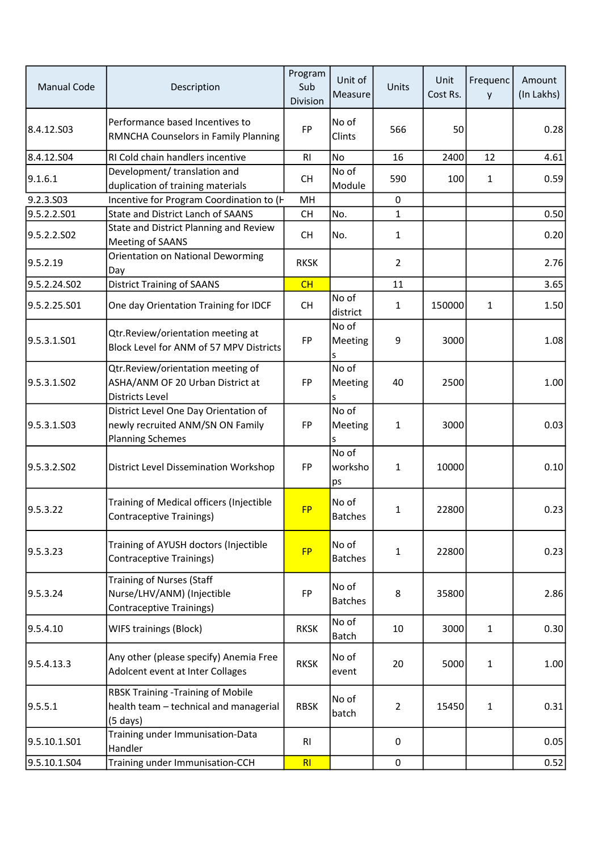| <b>Manual Code</b> | Description                                                                                          | Program<br>Sub<br>Division | Unit of<br>Measure      | Units          | Unit<br>Cost Rs. | Frequenc<br>y | Amount<br>(In Lakhs) |
|--------------------|------------------------------------------------------------------------------------------------------|----------------------------|-------------------------|----------------|------------------|---------------|----------------------|
| 8.4.12.S03         | Performance based Incentives to<br>RMNCHA Counselors in Family Planning                              | <b>FP</b>                  | No of<br>Clints         | 566            | 50               |               | 0.28                 |
| 8.4.12.504         | RI Cold chain handlers incentive                                                                     | R1                         | No                      | 16             | 2400             | 12            | 4.61                 |
| 9.1.6.1            | Development/ translation and<br>duplication of training materials                                    | <b>CH</b>                  | No of<br>Module         | 590            | 100              | 1             | 0.59                 |
| 9.2.3.S03          | Incentive for Program Coordination to (H                                                             | MH                         |                         | 0              |                  |               |                      |
| 9.5.2.2.S01        | State and District Lanch of SAANS                                                                    | <b>CH</b>                  | No.                     | $\mathbf{1}$   |                  |               | 0.50                 |
| 9.5.2.2.SO2        | State and District Planning and Review<br>Meeting of SAANS                                           | <b>CH</b>                  | No.                     | 1              |                  |               | 0.20                 |
| 9.5.2.19           | Orientation on National Deworming<br>Day                                                             | <b>RKSK</b>                |                         | $\overline{2}$ |                  |               | 2.76                 |
| 9.5.2.24.S02       | <b>District Training of SAANS</b>                                                                    | CH                         |                         | 11             |                  |               | 3.65                 |
| 9.5.2.25.S01       | One day Orientation Training for IDCF                                                                | <b>CH</b>                  | No of<br>district       | 1              | 150000           | $\mathbf{1}$  | 1.50                 |
| 9.5.3.1.S01        | Qtr.Review/orientation meeting at<br>Block Level for ANM of 57 MPV Districts                         | FP                         | No of<br>Meeting<br>s   | 9              | 3000             |               | 1.08                 |
| 9.5.3.1.SO2        | Qtr.Review/orientation meeting of<br>ASHA/ANM OF 20 Urban District at<br><b>Districts Level</b>      | <b>FP</b>                  | No of<br>Meeting<br>s   | 40             | 2500             |               | 1.00                 |
| 9.5.3.1.503        | District Level One Day Orientation of<br>newly recruited ANM/SN ON Family<br><b>Planning Schemes</b> | FP                         | No of<br>Meeting<br>s   | $\mathbf{1}$   | 3000             |               | 0.03                 |
| 9.5.3.2.502        | District Level Dissemination Workshop                                                                | <b>FP</b>                  | No of<br>worksho<br>ps  | $\mathbf{1}$   | 10000            |               | 0.10                 |
| 9.5.3.22           | Training of Medical officers (Injectible<br><b>Contraceptive Trainings)</b>                          | <b>FP</b>                  | No of<br><b>Batches</b> | $\mathbf{1}$   | 22800            |               | 0.23                 |
| 9.5.3.23           | Training of AYUSH doctors (Injectible<br><b>Contraceptive Trainings)</b>                             | <b>FP</b>                  | No of<br><b>Batches</b> | 1              | 22800            |               | 0.23                 |
| 9.5.3.24           | <b>Training of Nurses (Staff</b><br>Nurse/LHV/ANM) (Injectible<br>Contraceptive Trainings)           | FP                         | No of<br><b>Batches</b> | 8              | 35800            |               | 2.86                 |
| 9.5.4.10           | WIFS trainings (Block)                                                                               | <b>RKSK</b>                | No of<br>Batch          | 10             | 3000             | 1             | 0.30                 |
| 9.5.4.13.3         | Any other (please specify) Anemia Free<br>Adolcent event at Inter Collages                           | <b>RKSK</b>                | No of<br>event          | 20             | 5000             | $\mathbf{1}$  | 1.00                 |
| 9.5.5.1            | <b>RBSK Training -Training of Mobile</b><br>health team - technical and managerial<br>$(5$ days)     | <b>RBSK</b>                | No of<br>batch          | $\overline{2}$ | 15450            | $\mathbf{1}$  | 0.31                 |
| 9.5.10.1.S01       | Training under Immunisation-Data<br>Handler                                                          | RI                         |                         | $\mathbf 0$    |                  |               | 0.05                 |
| 9.5.10.1.S04       | Training under Immunisation-CCH                                                                      | RI                         |                         | $\mathbf 0$    |                  |               | 0.52                 |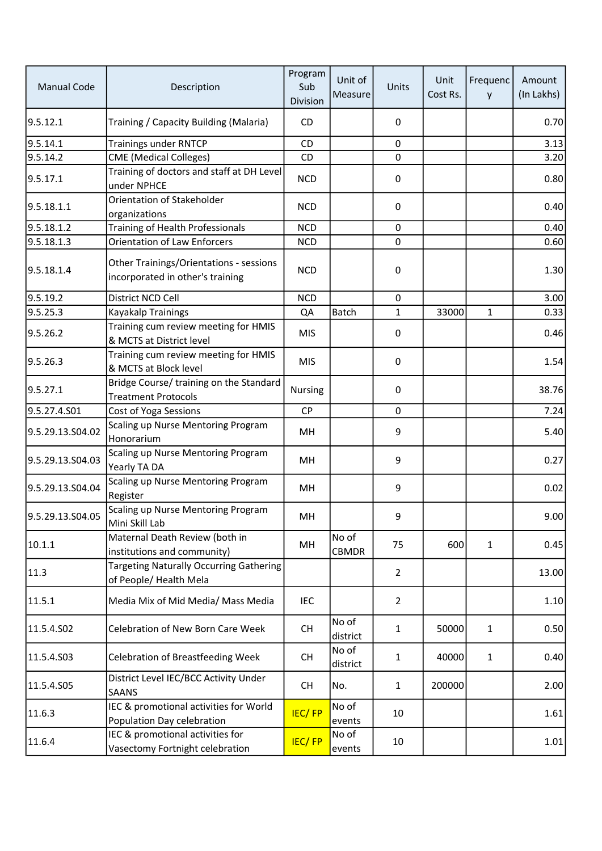| <b>Manual Code</b> | Description                                                                 | Program<br>Sub<br>Division | Unit of<br>Measure    | Units            | Unit<br>Cost Rs. | Frequenc<br>y | Amount<br>(In Lakhs) |
|--------------------|-----------------------------------------------------------------------------|----------------------------|-----------------------|------------------|------------------|---------------|----------------------|
| 9.5.12.1           | Training / Capacity Building (Malaria)                                      | CD                         |                       | 0                |                  |               | 0.70                 |
| 9.5.14.1           | <b>Trainings under RNTCP</b>                                                | CD                         |                       | $\mathbf 0$      |                  |               | 3.13                 |
| 9.5.14.2           | <b>CME</b> (Medical Colleges)                                               | CD                         |                       | $\pmb{0}$        |                  |               | 3.20                 |
| 9.5.17.1           | Training of doctors and staff at DH Level<br>under NPHCE                    | <b>NCD</b>                 |                       | $\pmb{0}$        |                  |               | 0.80                 |
| 9.5.18.1.1         | Orientation of Stakeholder<br>organizations                                 | <b>NCD</b>                 |                       | 0                |                  |               | 0.40                 |
| 9.5.18.1.2         | Training of Health Professionals                                            | <b>NCD</b>                 |                       | $\mathbf 0$      |                  |               | 0.40                 |
| 9.5.18.1.3         | <b>Orientation of Law Enforcers</b>                                         | <b>NCD</b>                 |                       | $\mathbf 0$      |                  |               | 0.60                 |
| 9.5.18.1.4         | Other Trainings/Orientations - sessions<br>incorporated in other's training | <b>NCD</b>                 |                       | $\pmb{0}$        |                  |               | 1.30                 |
| 9.5.19.2           | District NCD Cell                                                           | <b>NCD</b>                 |                       | $\mathbf 0$      |                  |               | 3.00                 |
| 9.5.25.3           | Kayakalp Trainings                                                          | QA                         | Batch                 | $\mathbf{1}$     | 33000            | $\mathbf{1}$  | 0.33                 |
| 9.5.26.2           | Training cum review meeting for HMIS<br>& MCTS at District level            | <b>MIS</b>                 |                       | $\pmb{0}$        |                  |               | 0.46                 |
| 9.5.26.3           | Training cum review meeting for HMIS<br>& MCTS at Block level               | <b>MIS</b>                 |                       | $\pmb{0}$        |                  |               | 1.54                 |
| 9.5.27.1           | Bridge Course/ training on the Standard<br><b>Treatment Protocols</b>       | Nursing                    |                       | $\boldsymbol{0}$ |                  |               | 38.76                |
| 9.5.27.4.S01       | Cost of Yoga Sessions                                                       | CP                         |                       | $\pmb{0}$        |                  |               | 7.24                 |
| 9.5.29.13.S04.02   | Scaling up Nurse Mentoring Program<br>Honorarium                            | MН                         |                       | 9                |                  |               | 5.40                 |
| 9.5.29.13.S04.03   | Scaling up Nurse Mentoring Program<br>Yearly TA DA                          | MH                         |                       | 9                |                  |               | 0.27                 |
| 9.5.29.13.S04.04   | Scaling up Nurse Mentoring Program<br>Register                              | MH                         |                       | 9                |                  |               | 0.02                 |
| 9.5.29.13.S04.05   | Scaling up Nurse Mentoring Program<br>Mini Skill Lab                        | MH                         |                       | 9                |                  |               | 9.00                 |
| 10.1.1             | Maternal Death Review (both in<br>institutions and community)               | MH                         | No of<br><b>CBMDR</b> | 75               | 600              | $\mathbf{1}$  | 0.45                 |
| 11.3               | <b>Targeting Naturally Occurring Gathering</b><br>of People/ Health Mela    |                            |                       | $\overline{2}$   |                  |               | 13.00                |
| 11.5.1             | Media Mix of Mid Media/ Mass Media                                          | <b>IEC</b>                 |                       | $\overline{2}$   |                  |               | 1.10                 |
| 11.5.4.S02         | Celebration of New Born Care Week                                           | <b>CH</b>                  | No of<br>district     | 1                | 50000            | $\mathbf{1}$  | 0.50                 |
| 11.5.4.S03         | <b>Celebration of Breastfeeding Week</b>                                    | <b>CH</b>                  | No of<br>district     | 1                | 40000            | $\mathbf{1}$  | 0.40                 |
| 11.5.4.S05         | District Level IEC/BCC Activity Under<br><b>SAANS</b>                       | <b>CH</b>                  | No.                   | 1                | 200000           |               | 2.00                 |
| 11.6.3             | IEC & promotional activities for World<br>Population Day celebration        | <b>IEC/FP</b>              | No of<br>events       | 10               |                  |               | 1.61                 |
| 11.6.4             | IEC & promotional activities for<br>Vasectomy Fortnight celebration         | <b>IEC/FP</b>              | No of<br>events       | 10               |                  |               | 1.01                 |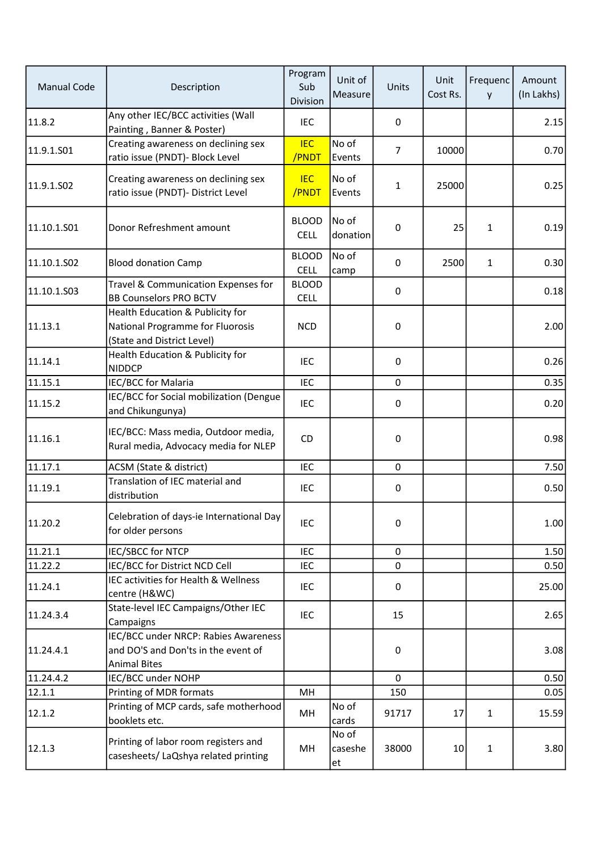| <b>Manual Code</b> | Description                                                                                        | Program<br>Sub<br>Division  | Unit of<br>Measure     | Units          | Unit<br>Cost Rs. | Frequenc<br>y | Amount<br>(In Lakhs) |
|--------------------|----------------------------------------------------------------------------------------------------|-----------------------------|------------------------|----------------|------------------|---------------|----------------------|
| 11.8.2             | Any other IEC/BCC activities (Wall<br>Painting, Banner & Poster)                                   | <b>IEC</b>                  |                        | 0              |                  |               | 2.15                 |
| 11.9.1.S01         | Creating awareness on declining sex<br>ratio issue (PNDT)- Block Level                             | <b>IEC</b><br>/PNDT         | No of<br>Events        | $\overline{7}$ | 10000            |               | 0.70                 |
| 11.9.1.S02         | Creating awareness on declining sex<br>ratio issue (PNDT)- District Level                          | <b>IEC</b><br>/PNDT         | No of<br>Events        | $\mathbf{1}$   | 25000            |               | 0.25                 |
| 11.10.1.S01        | Donor Refreshment amount                                                                           | <b>BLOOD</b><br><b>CELL</b> | No of<br>donation      | $\pmb{0}$      | 25               | $\mathbf{1}$  | 0.19                 |
| 11.10.1.502        | <b>Blood donation Camp</b>                                                                         | <b>BLOOD</b><br><b>CELL</b> | No of<br>camp          | $\mathbf 0$    | 2500             | $\mathbf{1}$  | 0.30                 |
| 11.10.1.503        | Travel & Communication Expenses for<br><b>BB Counselors PRO BCTV</b>                               | <b>BLOOD</b><br><b>CELL</b> |                        | 0              |                  |               | 0.18                 |
| 11.13.1            | Health Education & Publicity for<br>National Programme for Fluorosis<br>(State and District Level) | <b>NCD</b>                  |                        | $\mathbf 0$    |                  |               | 2.00                 |
| 11.14.1            | Health Education & Publicity for<br><b>NIDDCP</b>                                                  | <b>IEC</b>                  |                        | $\mathbf 0$    |                  |               | 0.26                 |
| 11.15.1            | IEC/BCC for Malaria                                                                                | <b>IEC</b>                  |                        | $\mathbf 0$    |                  |               | 0.35                 |
| 11.15.2            | IEC/BCC for Social mobilization (Dengue<br>and Chikungunya)                                        | <b>IEC</b>                  |                        | 0              |                  |               | 0.20                 |
| 11.16.1            | IEC/BCC: Mass media, Outdoor media,<br>Rural media, Advocacy media for NLEP                        | CD                          |                        | $\pmb{0}$      |                  |               | 0.98                 |
| 11.17.1            | ACSM (State & district)                                                                            | <b>IEC</b>                  |                        | $\mathbf 0$    |                  |               | 7.50                 |
| 11.19.1            | Translation of IEC material and<br>distribution                                                    | <b>IEC</b>                  |                        | $\pmb{0}$      |                  |               | 0.50                 |
| 11.20.2            | Celebration of days-ie International Day<br>for older persons                                      | IEC                         |                        | 0              |                  |               | 1.00                 |
| 11.21.1            | IEC/SBCC for NTCP                                                                                  | IEC                         |                        | 0              |                  |               | 1.50                 |
| 11.22.2            | IEC/BCC for District NCD Cell                                                                      | <b>IEC</b>                  |                        | $\mathbf 0$    |                  |               | 0.50                 |
| 11.24.1            | IEC activities for Health & Wellness<br>centre (H&WC)                                              | IEC                         |                        | $\pmb{0}$      |                  |               | 25.00                |
| 11.24.3.4          | State-level IEC Campaigns/Other IEC<br>Campaigns                                                   | IEC                         |                        | 15             |                  |               | 2.65                 |
| 11.24.4.1          | IEC/BCC under NRCP: Rabies Awareness<br>and DO'S and Don'ts in the event of<br><b>Animal Bites</b> |                             |                        | $\pmb{0}$      |                  |               | 3.08                 |
| 11.24.4.2          | IEC/BCC under NOHP                                                                                 |                             |                        | $\mathbf 0$    |                  |               | 0.50                 |
| 12.1.1             | Printing of MDR formats                                                                            | MH                          |                        | 150            |                  |               | 0.05                 |
| 12.1.2             | Printing of MCP cards, safe motherhood<br>booklets etc.                                            | MH                          | No of<br>cards         | 91717          | 17               | $\mathbf{1}$  | 15.59                |
| 12.1.3             | Printing of labor room registers and<br>casesheets/ LaQshya related printing                       | MH                          | No of<br>caseshe<br>et | 38000          | 10               | $\mathbf{1}$  | 3.80                 |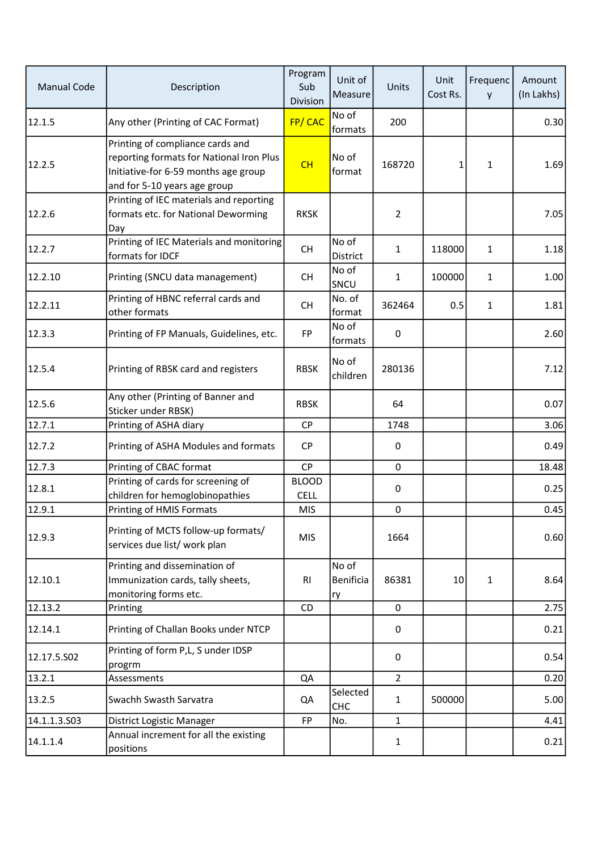| <b>Manual Code</b> | Description                                                                                                                                          | Program<br>Sub<br>Division  | Unit of<br>Measure              | Units            | Unit<br>Cost Rs. | Frequenc<br>y | Amount<br>(In Lakhs) |
|--------------------|------------------------------------------------------------------------------------------------------------------------------------------------------|-----------------------------|---------------------------------|------------------|------------------|---------------|----------------------|
| 12.1.5             | Any other (Printing of CAC Format)                                                                                                                   | FP/CAC                      | No of<br>formats                | 200              |                  |               | 0.30                 |
| 12.2.5             | Printing of compliance cards and<br>reporting formats for National Iron Plus<br>Initiative-for 6-59 months age group<br>and for 5-10 years age group | CH                          | No of<br>format                 | 168720           | 1                | 1             | 1.69                 |
| 12.2.6             | Printing of IEC materials and reporting<br>formats etc. for National Deworming<br>Day                                                                | <b>RKSK</b>                 |                                 | $\overline{2}$   |                  |               | 7.05                 |
| 12.2.7             | Printing of IEC Materials and monitoring<br>formats for IDCF                                                                                         | <b>CH</b>                   | No of<br>District               | 1                | 118000           | 1             | 1.18                 |
| 12.2.10            | Printing (SNCU data management)                                                                                                                      | <b>CH</b>                   | No of<br>SNCU                   | 1                | 100000           | $\mathbf{1}$  | 1.00                 |
| 12.2.11            | Printing of HBNC referral cards and<br>other formats                                                                                                 | <b>CH</b>                   | No. of<br>format                | 362464           | 0.5              | 1             | 1.81                 |
| 12.3.3             | Printing of FP Manuals, Guidelines, etc.                                                                                                             | FP                          | No of<br>formats                | $\mathbf 0$      |                  |               | 2.60                 |
| 12.5.4             | Printing of RBSK card and registers                                                                                                                  | <b>RBSK</b>                 | No of<br>children               | 280136           |                  |               | 7.12                 |
| 12.5.6             | Any other (Printing of Banner and<br>Sticker under RBSK)                                                                                             | <b>RBSK</b>                 |                                 | 64               |                  |               | 0.07                 |
| 12.7.1             | Printing of ASHA diary                                                                                                                               | CP                          |                                 | 1748             |                  |               | 3.06                 |
| 12.7.2             | Printing of ASHA Modules and formats                                                                                                                 | <b>CP</b>                   |                                 | $\boldsymbol{0}$ |                  |               | 0.49                 |
| 12.7.3             | Printing of CBAC format                                                                                                                              | CP                          |                                 | $\pmb{0}$        |                  |               | 18.48                |
| 12.8.1             | Printing of cards for screening of<br>children for hemoglobinopathies                                                                                | <b>BLOOD</b><br><b>CELL</b> |                                 | $\pmb{0}$        |                  |               | 0.25                 |
| 12.9.1             | Printing of HMIS Formats                                                                                                                             | <b>MIS</b>                  |                                 | $\pmb{0}$        |                  |               | 0.45                 |
| 12.9.3             | Printing of MCTS follow-up formats/<br>services due list/ work plan                                                                                  | <b>MIS</b>                  |                                 | 1664             |                  |               | 0.60                 |
| 12.10.1            | Printing and dissemination of<br>Immunization cards, tally sheets,<br>monitoring forms etc.                                                          | <b>RI</b>                   | No of<br><b>Benificia</b><br>ry | 86381            | 10 <sup>1</sup>  | $\mathbf{1}$  | 8.64                 |
| 12.13.2            | Printing                                                                                                                                             | CD                          |                                 | 0                |                  |               | 2.75                 |
| 12.14.1            | Printing of Challan Books under NTCP                                                                                                                 |                             |                                 | 0                |                  |               | 0.21                 |
| 12.17.5.502        | Printing of form P,L, S under IDSP<br>progrm                                                                                                         |                             |                                 | 0                |                  |               | 0.54                 |
| 13.2.1             | Assessments                                                                                                                                          | QA                          |                                 | $\overline{2}$   |                  |               | 0.20                 |
| 13.2.5             | Swachh Swasth Sarvatra                                                                                                                               | QA                          | Selected<br><b>CHC</b>          | $\mathbf{1}$     | 500000           |               | 5.00                 |
| 14.1.1.3.503       | District Logistic Manager                                                                                                                            | <b>FP</b>                   | No.                             | $\mathbf 1$      |                  |               | 4.41                 |
| 14.1.1.4           | Annual increment for all the existing<br>positions                                                                                                   |                             |                                 | $\mathbf{1}$     |                  |               | 0.21                 |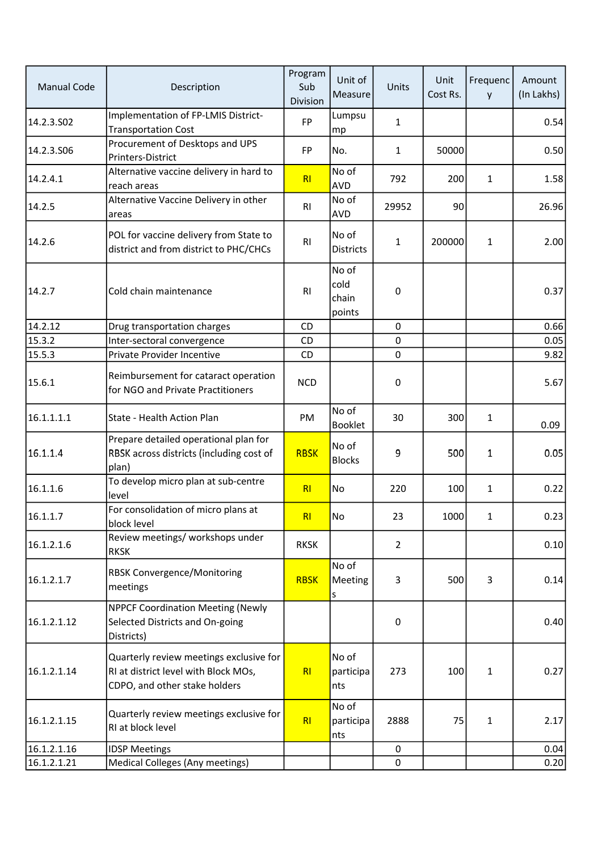| <b>Manual Code</b> | Description                                                                                                      | Program<br>Sub<br>Division | Unit of<br>Measure               | Units          | Unit<br>Cost Rs. | Frequenc<br>y | Amount<br>(In Lakhs) |
|--------------------|------------------------------------------------------------------------------------------------------------------|----------------------------|----------------------------------|----------------|------------------|---------------|----------------------|
| 14.2.3.S02         | Implementation of FP-LMIS District-<br><b>Transportation Cost</b>                                                | <b>FP</b>                  | Lumpsu<br>mp                     | 1              |                  |               | 0.54                 |
| 14.2.3.S06         | Procurement of Desktops and UPS<br>Printers-District                                                             | <b>FP</b>                  | No.                              | 1              | 50000            |               | 0.50                 |
| 14.2.4.1           | Alternative vaccine delivery in hard to<br>reach areas                                                           | R <sub>l</sub>             | No of<br><b>AVD</b>              | 792            | 200              | $\mathbf{1}$  | 1.58                 |
| 14.2.5             | Alternative Vaccine Delivery in other<br>areas                                                                   | R <sub>l</sub>             | No of<br><b>AVD</b>              | 29952          | 90               |               | 26.96                |
| 14.2.6             | POL for vaccine delivery from State to<br>district and from district to PHC/CHCs                                 | R <sub>l</sub>             | No of<br><b>Districts</b>        | 1              | 200000           | 1             | 2.00                 |
| 14.2.7             | Cold chain maintenance                                                                                           | R1                         | No of<br>cold<br>chain<br>points | 0              |                  |               | 0.37                 |
| 14.2.12            | Drug transportation charges                                                                                      | <b>CD</b>                  |                                  | 0              |                  |               | 0.66                 |
| 15.3.2             | Inter-sectoral convergence                                                                                       | CD                         |                                  | 0              |                  |               | 0.05                 |
| 15.5.3             | Private Provider Incentive                                                                                       | CD                         |                                  | $\mathbf 0$    |                  |               | 9.82                 |
| 15.6.1             | Reimbursement for cataract operation<br>for NGO and Private Practitioners                                        | <b>NCD</b>                 |                                  | $\pmb{0}$      |                  |               | 5.67                 |
| 16.1.1.1.1         | State - Health Action Plan                                                                                       | PM                         | No of<br><b>Booklet</b>          | 30             | 300              | 1             | 0.09                 |
| 16.1.1.4           | Prepare detailed operational plan for<br>RBSK across districts (including cost of<br>plan)                       | <b>RBSK</b>                | No of<br><b>Blocks</b>           | 9              | 500              | 1             | 0.05                 |
| 16.1.1.6           | To develop micro plan at sub-centre<br>level                                                                     | R <sub>l</sub>             | No                               | 220            | 100              | 1             | 0.22                 |
| 16.1.1.7           | For consolidation of micro plans at<br>block level                                                               | $R$                        | <b>No</b>                        | 23             | 1000             | $\mathbf{1}$  | 0.23                 |
| 16.1.2.1.6         | Review meetings/ workshops under<br><b>RKSK</b>                                                                  | <b>RKSK</b>                |                                  | $\overline{2}$ |                  |               | 0.10                 |
| 16.1.2.1.7         | <b>RBSK Convergence/Monitoring</b><br>meetings                                                                   | <b>RBSK</b>                | No of<br>Meeting<br>s            | 3              | 500              | 3             | 0.14                 |
| 16.1.2.1.12        | <b>NPPCF Coordination Meeting (Newly</b><br>Selected Districts and On-going<br>Districts)                        |                            |                                  | 0              |                  |               | 0.40                 |
| 16.1.2.1.14        | Quarterly review meetings exclusive for<br>RI at district level with Block MOs,<br>CDPO, and other stake holders | R <sub>l</sub>             | No of<br>participa<br>nts        | 273            | 100              | 1             | 0.27                 |
| 16.1.2.1.15        | Quarterly review meetings exclusive for<br>RI at block level                                                     | RI                         | No of<br>participa<br>nts        | 2888           | 75               | 1             | 2.17                 |
| 16.1.2.1.16        | <b>IDSP Meetings</b>                                                                                             |                            |                                  | 0              |                  |               | 0.04                 |
| 16.1.2.1.21        | Medical Colleges (Any meetings)                                                                                  |                            |                                  | $\mathbf 0$    |                  |               | 0.20                 |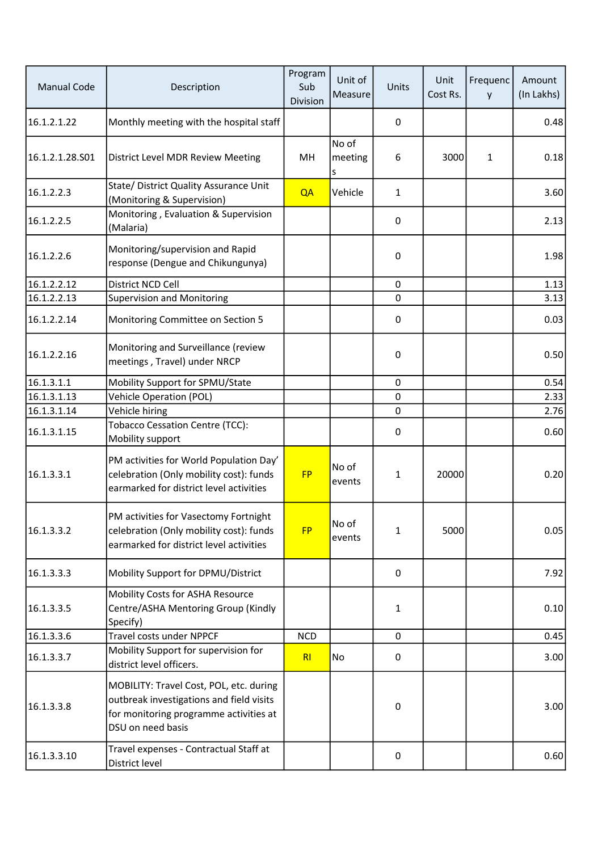| <b>Manual Code</b> | Description                                                                                                                                        | Program<br>Sub<br>Division | Unit of<br><b>Measure</b> | Units       | Unit<br>Cost Rs. | Frequenc<br>y | Amount<br>(In Lakhs) |
|--------------------|----------------------------------------------------------------------------------------------------------------------------------------------------|----------------------------|---------------------------|-------------|------------------|---------------|----------------------|
| 16.1.2.1.22        | Monthly meeting with the hospital staff                                                                                                            |                            |                           | 0           |                  |               | 0.48                 |
| 16.1.2.1.28.S01    | District Level MDR Review Meeting                                                                                                                  | MH                         | No of<br>meeting<br>s     | 6           | 3000             | 1             | 0.18                 |
| 16.1.2.2.3         | State/ District Quality Assurance Unit<br>(Monitoring & Supervision)                                                                               | QA                         | Vehicle                   | 1           |                  |               | 3.60                 |
| 16.1.2.2.5         | Monitoring, Evaluation & Supervision<br>(Malaria)                                                                                                  |                            |                           | 0           |                  |               | 2.13                 |
| 16.1.2.2.6         | Monitoring/supervision and Rapid<br>response (Dengue and Chikungunya)                                                                              |                            |                           | $\mathbf 0$ |                  |               | 1.98                 |
| 16.1.2.2.12        | District NCD Cell                                                                                                                                  |                            |                           | $\pmb{0}$   |                  |               | 1.13                 |
| 16.1.2.2.13        | <b>Supervision and Monitoring</b>                                                                                                                  |                            |                           | $\mathbf 0$ |                  |               | 3.13                 |
| 16.1.2.2.14        | Monitoring Committee on Section 5                                                                                                                  |                            |                           | $\mathbf 0$ |                  |               | 0.03                 |
| 16.1.2.2.16        | Monitoring and Surveillance (review<br>meetings, Travel) under NRCP                                                                                |                            |                           | $\mathbf 0$ |                  |               | 0.50                 |
| 16.1.3.1.1         | Mobility Support for SPMU/State                                                                                                                    |                            |                           | $\mathbf 0$ |                  |               | 0.54                 |
| 16.1.3.1.13        | <b>Vehicle Operation (POL)</b>                                                                                                                     |                            |                           | 0           |                  |               | 2.33                 |
| 16.1.3.1.14        | Vehicle hiring                                                                                                                                     |                            |                           | 0           |                  |               | 2.76                 |
| 16.1.3.1.15        | <b>Tobacco Cessation Centre (TCC):</b><br>Mobility support                                                                                         |                            |                           | $\mathbf 0$ |                  |               | 0.60                 |
| 16.1.3.3.1         | PM activities for World Population Day'<br>celebration (Only mobility cost): funds<br>earmarked for district level activities                      | <b>FP</b>                  | No of<br>events           | 1           | 20000            |               | 0.20                 |
| 16.1.3.3.2         | PM activities for Vasectomy Fortnight<br>celebration (Only mobility cost): funds<br>earmarked for district level activities                        | <b>FP</b>                  | No of<br>events           | 1           | 5000             |               | 0.05                 |
| 16.1.3.3.3         | Mobility Support for DPMU/District                                                                                                                 |                            |                           | $\mathbf 0$ |                  |               | 7.92                 |
| 16.1.3.3.5         | Mobility Costs for ASHA Resource<br>Centre/ASHA Mentoring Group (Kindly<br>Specify)                                                                |                            |                           | 1           |                  |               | 0.10                 |
| 16.1.3.3.6         | <b>Travel costs under NPPCF</b>                                                                                                                    | <b>NCD</b>                 |                           | $\pmb{0}$   |                  |               | 0.45                 |
| 16.1.3.3.7         | Mobility Support for supervision for<br>district level officers.                                                                                   | R <sub>l</sub>             | No                        | $\mathbf 0$ |                  |               | 3.00                 |
| 16.1.3.3.8         | MOBILITY: Travel Cost, POL, etc. during<br>outbreak investigations and field visits<br>for monitoring programme activities at<br>DSU on need basis |                            |                           | $\pmb{0}$   |                  |               | 3.00                 |
| 16.1.3.3.10        | Travel expenses - Contractual Staff at<br>District level                                                                                           |                            |                           | $\pmb{0}$   |                  |               | 0.60                 |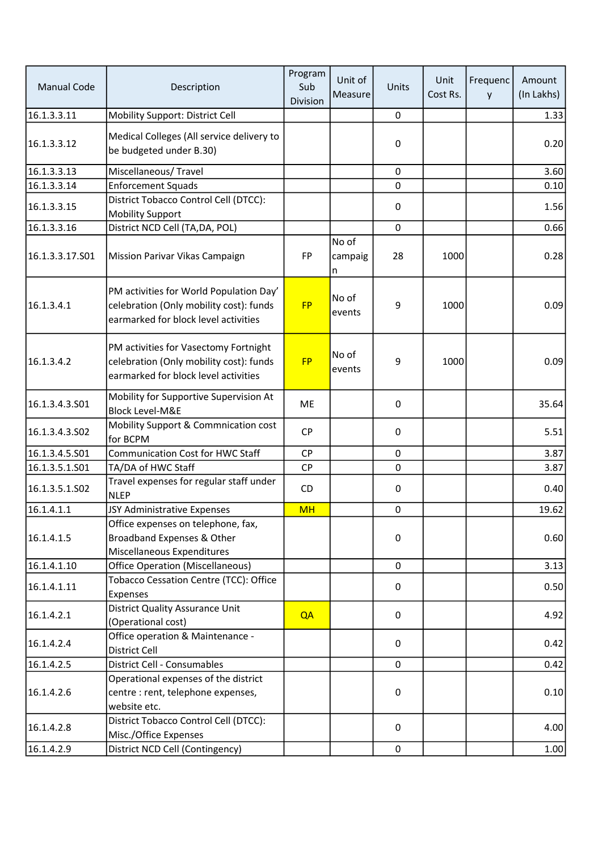| <b>Manual Code</b> | Description                                                                                                                | Program<br>Sub<br>Division | Unit of<br>Measure    | Units            | Unit<br>Cost Rs. | Frequenc<br>y | Amount<br>(In Lakhs) |
|--------------------|----------------------------------------------------------------------------------------------------------------------------|----------------------------|-----------------------|------------------|------------------|---------------|----------------------|
| 16.1.3.3.11        | Mobility Support: District Cell                                                                                            |                            |                       | $\pmb{0}$        |                  |               | 1.33                 |
| 16.1.3.3.12        | Medical Colleges (All service delivery to<br>be budgeted under B.30)                                                       |                            |                       | $\pmb{0}$        |                  |               | 0.20                 |
| 16.1.3.3.13        | Miscellaneous/Travel                                                                                                       |                            |                       | $\mathbf 0$      |                  |               | 3.60                 |
| 16.1.3.3.14        | <b>Enforcement Squads</b>                                                                                                  |                            |                       | 0                |                  |               | 0.10                 |
| 16.1.3.3.15        | District Tobacco Control Cell (DTCC):<br><b>Mobility Support</b>                                                           |                            |                       | 0                |                  |               | 1.56                 |
| 16.1.3.3.16        | District NCD Cell (TA, DA, POL)                                                                                            |                            |                       | $\mathbf 0$      |                  |               | 0.66                 |
| 16.1.3.3.17.S01    | Mission Parivar Vikas Campaign                                                                                             | FP                         | No of<br>campaig<br>n | 28               | 1000             |               | 0.28                 |
| 16.1.3.4.1         | PM activities for World Population Day'<br>celebration (Only mobility cost): funds<br>earmarked for block level activities | <b>FP</b>                  | No of<br>events       | 9                | 1000             |               | 0.09                 |
| 16.1.3.4.2         | PM activities for Vasectomy Fortnight<br>celebration (Only mobility cost): funds<br>earmarked for block level activities   | <b>FP</b>                  | No of<br>events       | 9                | 1000             |               | 0.09                 |
| 16.1.3.4.3.S01     | Mobility for Supportive Supervision At<br><b>Block Level-M&amp;E</b>                                                       | ME                         |                       | $\mathbf 0$      |                  |               | 35.64                |
| 16.1.3.4.3.S02     | Mobility Support & Commnication cost<br>for BCPM                                                                           | <b>CP</b>                  |                       | $\boldsymbol{0}$ |                  |               | 5.51                 |
| 16.1.3.4.5.501     | <b>Communication Cost for HWC Staff</b>                                                                                    | <b>CP</b>                  |                       | $\pmb{0}$        |                  |               | 3.87                 |
| 16.1.3.5.1.501     | TA/DA of HWC Staff                                                                                                         | <b>CP</b>                  |                       | $\mathbf 0$      |                  |               | 3.87                 |
| 16.1.3.5.1.S02     | Travel expenses for regular staff under<br><b>NLEP</b>                                                                     | CD                         |                       | $\pmb{0}$        |                  |               | 0.40                 |
| 16.1.4.1.1         | JSY Administrative Expenses                                                                                                | <b>MH</b>                  |                       | 0                |                  |               | 19.62                |
| 16.1.4.1.5         | Office expenses on telephone, fax,<br>Broadband Expenses & Other<br>Miscellaneous Expenditures                             |                            |                       | $\pmb{0}$        |                  |               | 0.60                 |
| 16.1.4.1.10        | <b>Office Operation (Miscellaneous)</b>                                                                                    |                            |                       | $\mathbf 0$      |                  |               | 3.13                 |
| 16.1.4.1.11        | Tobacco Cessation Centre (TCC): Office<br>Expenses                                                                         |                            |                       | 0                |                  |               | 0.50                 |
| 16.1.4.2.1         | <b>District Quality Assurance Unit</b><br>(Operational cost)                                                               | QA                         |                       | 0                |                  |               | 4.92                 |
| 16.1.4.2.4         | Office operation & Maintenance -<br>District Cell                                                                          |                            |                       | 0                |                  |               | 0.42                 |
| 16.1.4.2.5         | <b>District Cell - Consumables</b>                                                                                         |                            |                       | $\mathbf 0$      |                  |               | 0.42                 |
|                    | Operational expenses of the district                                                                                       |                            |                       |                  |                  |               |                      |
| 16.1.4.2.6         | centre : rent, telephone expenses,<br>website etc.                                                                         |                            |                       | $\mathbf 0$      |                  |               | 0.10                 |
| 16.1.4.2.8         | District Tobacco Control Cell (DTCC):<br>Misc./Office Expenses                                                             |                            |                       | 0                |                  |               | 4.00                 |
| 16.1.4.2.9         | District NCD Cell (Contingency)                                                                                            |                            |                       | $\mathbf 0$      |                  |               | 1.00                 |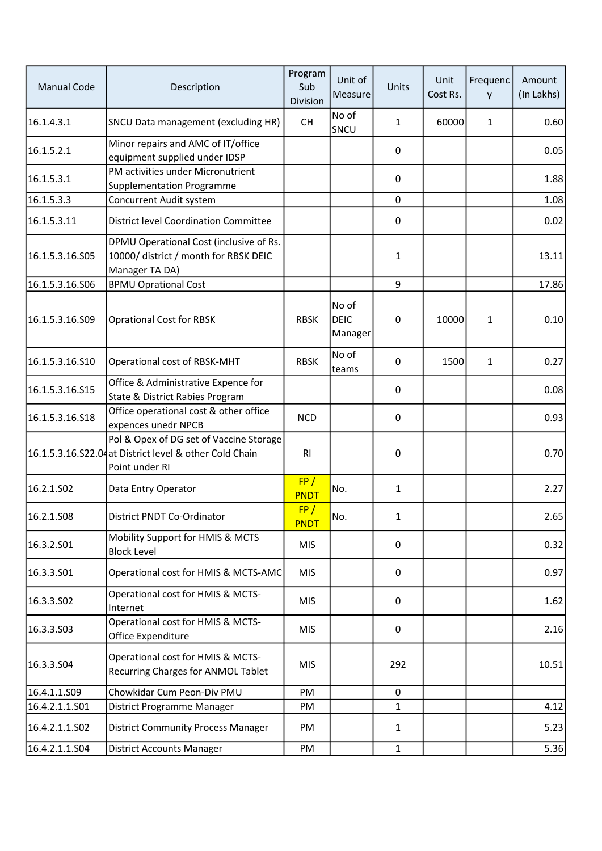| <b>Manual Code</b> | Description                                                                                                          | Program<br>Sub<br>Division | Unit of<br>Measure              | Units            | Unit<br>Cost Rs. | Frequenc<br>y | Amount<br>(In Lakhs) |
|--------------------|----------------------------------------------------------------------------------------------------------------------|----------------------------|---------------------------------|------------------|------------------|---------------|----------------------|
| 16.1.4.3.1         | SNCU Data management (excluding HR)                                                                                  | <b>CH</b>                  | No of<br>SNCU                   | 1                | 60000            | $\mathbf{1}$  | 0.60                 |
| 16.1.5.2.1         | Minor repairs and AMC of IT/office<br>equipment supplied under IDSP                                                  |                            |                                 | 0                |                  |               | 0.05                 |
| 16.1.5.3.1         | PM activities under Micronutrient<br><b>Supplementation Programme</b>                                                |                            |                                 | 0                |                  |               | 1.88                 |
| 16.1.5.3.3         | Concurrent Audit system                                                                                              |                            |                                 | 0                |                  |               | 1.08                 |
| 16.1.5.3.11        | <b>District level Coordination Committee</b>                                                                         |                            |                                 | 0                |                  |               | 0.02                 |
| 16.1.5.3.16.505    | DPMU Operational Cost (inclusive of Rs.<br>10000/ district / month for RBSK DEIC<br>Manager TA DA)                   |                            |                                 | $\mathbf{1}$     |                  |               | 13.11                |
| 16.1.5.3.16.506    | <b>BPMU Oprational Cost</b>                                                                                          |                            |                                 | 9                |                  |               | 17.86                |
| 16.1.5.3.16.S09    | <b>Oprational Cost for RBSK</b>                                                                                      | <b>RBSK</b>                | No of<br><b>DEIC</b><br>Manager | $\boldsymbol{0}$ | 10000            | 1             | 0.10                 |
| 16.1.5.3.16.S10    | Operational cost of RBSK-MHT                                                                                         | <b>RBSK</b>                | No of<br>teams                  | $\mathbf 0$      | 1500             | 1             | 0.27                 |
| 16.1.5.3.16.S15    | Office & Administrative Expence for<br>State & District Rabies Program                                               |                            |                                 | 0                |                  |               | 0.08                 |
| 16.1.5.3.16.S18    | Office operational cost & other office<br>expences unedr NPCB                                                        | <b>NCD</b>                 |                                 | 0                |                  |               | 0.93                 |
|                    | Pol & Opex of DG set of Vaccine Storage<br>16.1.5.3.16.S22.04 at District level & other Cold Chain<br>Point under RI | RI                         |                                 | 0                |                  |               | 0.70                 |
| 16.2.1.SO2         | Data Entry Operator                                                                                                  | FP/<br><b>PNDT</b>         | No.                             | 1                |                  |               | 2.27                 |
| 16.2.1.S08         | District PNDT Co-Ordinator                                                                                           | FP/<br><b>PNDT</b>         | No.                             | 1                |                  |               | 2.65                 |
| 16.3.2.S01         | Mobility Support for HMIS & MCTS<br><b>Block Level</b>                                                               | <b>MIS</b>                 |                                 | $\mathbf 0$      |                  |               | 0.32                 |
| 16.3.3.S01         | Operational cost for HMIS & MCTS-AMC                                                                                 | <b>MIS</b>                 |                                 | 0                |                  |               | 0.97                 |
| 16.3.3.S02         | Operational cost for HMIS & MCTS-<br>Internet                                                                        | <b>MIS</b>                 |                                 | 0                |                  |               | 1.62                 |
| 16.3.3.503         | Operational cost for HMIS & MCTS-<br>Office Expenditure                                                              | <b>MIS</b>                 |                                 | $\mathbf 0$      |                  |               | 2.16                 |
| 16.3.3.504         | Operational cost for HMIS & MCTS-<br>Recurring Charges for ANMOL Tablet                                              | <b>MIS</b>                 |                                 | 292              |                  |               | 10.51                |
| 16.4.1.1.S09       | Chowkidar Cum Peon-Div PMU                                                                                           | PM                         |                                 | $\mathbf 0$      |                  |               |                      |
| 16.4.2.1.1.S01     | District Programme Manager                                                                                           | PM                         |                                 | $\mathbf{1}$     |                  |               | 4.12                 |
| 16.4.2.1.1.502     | <b>District Community Process Manager</b>                                                                            | PM                         |                                 | 1                |                  |               | 5.23                 |
| 16.4.2.1.1.S04     | <b>District Accounts Manager</b>                                                                                     | PM                         |                                 | $\mathbf{1}$     |                  |               | 5.36                 |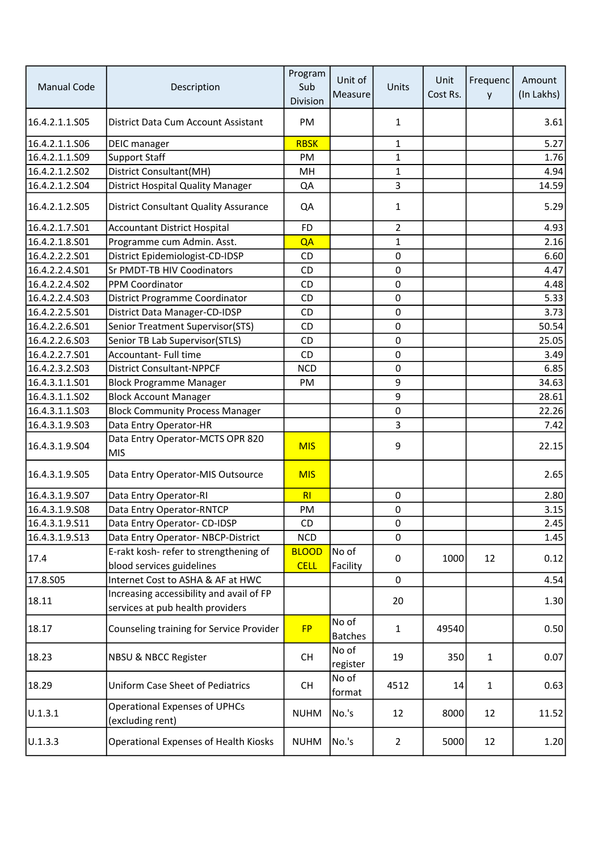| <b>Manual Code</b> | Description                                                                  | Program<br>Sub<br>Division  | Unit of<br>Measure      | <b>Units</b>     | Unit<br>Cost Rs. | Frequenc<br>y | Amount<br>(In Lakhs) |
|--------------------|------------------------------------------------------------------------------|-----------------------------|-------------------------|------------------|------------------|---------------|----------------------|
| 16.4.2.1.1.S05     | District Data Cum Account Assistant                                          | PM                          |                         | 1                |                  |               | 3.61                 |
| 16.4.2.1.1.S06     | DEIC manager                                                                 | <b>RBSK</b>                 |                         | $\mathbf{1}$     |                  |               | 5.27                 |
| 16.4.2.1.1.S09     | <b>Support Staff</b>                                                         | PM                          |                         | 1                |                  |               | 1.76                 |
| 16.4.2.1.2.502     | District Consultant(MH)                                                      | MH                          |                         | $\mathbf{1}$     |                  |               | 4.94                 |
| 16.4.2.1.2.504     | <b>District Hospital Quality Manager</b>                                     | QA                          |                         | 3                |                  |               | 14.59                |
| 16.4.2.1.2.S05     | <b>District Consultant Quality Assurance</b>                                 | QA                          |                         | 1                |                  |               | 5.29                 |
| 16.4.2.1.7.501     | <b>Accountant District Hospital</b>                                          | <b>FD</b>                   |                         | 2                |                  |               | 4.93                 |
| 16.4.2.1.8.501     | Programme cum Admin. Asst.                                                   | QA                          |                         | 1                |                  |               | 2.16                 |
| 16.4.2.2.2.S01     | District Epidemiologist-CD-IDSP                                              | CD                          |                         | $\mathbf 0$      |                  |               | 6.60                 |
| 16.4.2.2.4.501     | Sr PMDT-TB HIV Coodinators                                                   | CD                          |                         | $\mathbf 0$      |                  |               | 4.47                 |
| 16.4.2.2.4.S02     | PPM Coordinator                                                              | <b>CD</b>                   |                         | $\pmb{0}$        |                  |               | 4.48                 |
| 16.4.2.2.4.503     | District Programme Coordinator                                               | CD                          |                         | $\mathbf 0$      |                  |               | 5.33                 |
| 16.4.2.2.5.S01     | District Data Manager-CD-IDSP                                                | CD                          |                         | $\pmb{0}$        |                  |               | 3.73                 |
| 16.4.2.2.6.S01     | Senior Treatment Supervisor(STS)                                             | CD                          |                         | $\mathbf 0$      |                  |               | 50.54                |
| 16.4.2.2.6.S03     | Senior TB Lab Supervisor(STLS)                                               | CD                          |                         | $\mathbf 0$      |                  |               | 25.05                |
| 16.4.2.2.7.S01     | Accountant- Full time                                                        | CD                          |                         | $\mathbf 0$      |                  |               | 3.49                 |
| 16.4.2.3.2.503     | <b>District Consultant-NPPCF</b>                                             | <b>NCD</b>                  |                         | $\pmb{0}$        |                  |               | 6.85                 |
| 16.4.3.1.1.S01     | <b>Block Programme Manager</b>                                               | PM                          |                         | 9                |                  |               | 34.63                |
| 16.4.3.1.1.S02     | <b>Block Account Manager</b>                                                 |                             |                         | 9                |                  |               | 28.61                |
| 16.4.3.1.1.S03     | <b>Block Community Process Manager</b>                                       |                             |                         | $\pmb{0}$        |                  |               | 22.26                |
| 16.4.3.1.9.503     | Data Entry Operator-HR                                                       |                             |                         | 3                |                  |               | 7.42                 |
| 16.4.3.1.9.504     | Data Entry Operator-MCTS OPR 820<br><b>MIS</b>                               | <b>MIS</b>                  |                         | 9                |                  |               | 22.15                |
| 16.4.3.1.9.505     | Data Entry Operator-MIS Outsource                                            | <b>MIS</b>                  |                         |                  |                  |               | 2.65                 |
| 16.4.3.1.9.S07     | Data Entry Operator-RI                                                       | RI                          |                         | $\pmb{0}$        |                  |               | 2.80                 |
| 16.4.3.1.9.508     | Data Entry Operator-RNTCP                                                    | PM                          |                         | $\pmb{0}$        |                  |               | 3.15                 |
| 16.4.3.1.9.511     | Data Entry Operator- CD-IDSP                                                 | CD                          |                         | $\boldsymbol{0}$ |                  |               | 2.45                 |
| 16.4.3.1.9.513     | Data Entry Operator-NBCP-District                                            | <b>NCD</b>                  |                         | $\mathbf 0$      |                  |               | 1.45                 |
| 17.4               | E-rakt kosh- refer to strengthening of<br>blood services guidelines          | <b>BLOOD</b><br><b>CELL</b> | No of<br>Facility       | $\mathbf 0$      | 1000             | 12            | 0.12                 |
| 17.8.S05           | Internet Cost to ASHA & AF at HWC                                            |                             |                         | $\mathbf 0$      |                  |               | 4.54                 |
| 18.11              | Increasing accessibility and avail of FP<br>services at pub health providers |                             |                         | 20               |                  |               | 1.30                 |
| 18.17              | Counseling training for Service Provider                                     | <b>FP</b>                   | No of<br><b>Batches</b> | 1                | 49540            |               | 0.50                 |
| 18.23              | NBSU & NBCC Register                                                         | <b>CH</b>                   | No of<br>register       | 19               | 350              | $\mathbf{1}$  | 0.07                 |
| 18.29              | <b>Uniform Case Sheet of Pediatrics</b>                                      | <b>CH</b>                   | No of<br>format         | 4512             | 14               | 1             | 0.63                 |
| U.1.3.1            | <b>Operational Expenses of UPHCs</b><br>(excluding rent)                     | <b>NUHM</b>                 | No.'s                   | 12               | 8000             | 12            | 11.52                |
| U.1.3.3            | Operational Expenses of Health Kiosks                                        | <b>NUHM</b>                 | No.'s                   | $\overline{2}$   | 5000             | 12            | 1.20                 |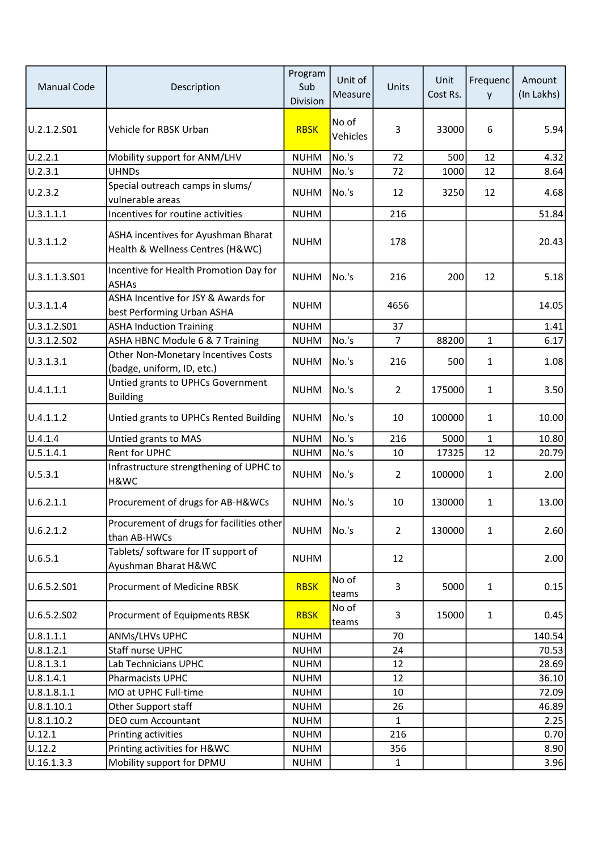| <b>Manual Code</b> | Description                                                             | Program<br>Sub<br>Division | Unit of<br>Measure | Units          | Unit<br>Cost Rs. | Frequenc<br>y | Amount<br>(In Lakhs) |
|--------------------|-------------------------------------------------------------------------|----------------------------|--------------------|----------------|------------------|---------------|----------------------|
| U.2.1.2.S01        | Vehicle for RBSK Urban                                                  | <b>RBSK</b>                | No of<br>Vehicles  | 3              | 33000            | 6             | 5.94                 |
| U.2.2.1            | Mobility support for ANM/LHV                                            | <b>NUHM</b>                | No.'s              | 72             | 500              | 12            | 4.32                 |
| U.2.3.1            | <b>UHNDs</b>                                                            | <b>NUHM</b>                | No.'s              | 72             | 1000             | 12            | 8.64                 |
| U.2.3.2            | Special outreach camps in slums/<br>vulnerable areas                    | <b>NUHM</b>                | No.'s              | 12             | 3250             | 12            | 4.68                 |
| 0.3.1.1.1          | Incentives for routine activities                                       | <b>NUHM</b>                |                    | 216            |                  |               | 51.84                |
| U.3.1.1.2          | ASHA incentives for Ayushman Bharat<br>Health & Wellness Centres (H&WC) | <b>NUHM</b>                |                    | 178            |                  |               | 20.43                |
| U.3.1.1.3.S01      | Incentive for Health Promotion Day for<br><b>ASHAs</b>                  | <b>NUHM</b>                | No.'s              | 216            | 200              | 12            | 5.18                 |
| U.3.1.1.4          | ASHA Incentive for JSY & Awards for<br>best Performing Urban ASHA       | <b>NUHM</b>                |                    | 4656           |                  |               | 14.05                |
| U.3.1.2.S01        | <b>ASHA Induction Training</b>                                          | <b>NUHM</b>                |                    | 37             |                  |               | 1.41                 |
| U.3.1.2.S02        | ASHA HBNC Module 6 & 7 Training                                         | <b>NUHM</b>                | No.'s              | $\overline{7}$ | 88200            | $\mathbf{1}$  | 6.17                 |
| U.3.1.3.1          | Other Non-Monetary Incentives Costs<br>(badge, uniform, ID, etc.)       | <b>NUHM</b>                | No.'s              | 216            | 500              | 1             | 1.08                 |
| U.4.1.1.1          | Untied grants to UPHCs Government<br><b>Building</b>                    | <b>NUHM</b>                | No.'s              | $\overline{2}$ | 175000           | 1             | 3.50                 |
| U.4.1.1.2          | Untied grants to UPHCs Rented Building                                  | <b>NUHM</b>                | No.'s              | 10             | 100000           | $\mathbf{1}$  | 10.00                |
| U.4.1.4            | Untied grants to MAS                                                    | <b>NUHM</b>                | No.'s              | 216            | 5000             | $\mathbf{1}$  | 10.80                |
| U.5.1.4.1          | Rent for UPHC                                                           | <b>NUHM</b>                | No.'s              | 10             | 17325            | 12            | 20.79                |
| U.5.3.1            | Infrastructure strengthening of UPHC to<br>H&WC                         | <b>NUHM</b>                | No.'s              | $\overline{2}$ | 100000           | 1             | 2.00                 |
| U.6.2.1.1          | Procurement of drugs for AB-H&WCs                                       | <b>NUHM</b>                | No.'s              | 10             | 130000           | 1             | 13.00                |
| U.6.2.1.2          | Procurement of drugs for facilities other<br>than AB-HWCs               | <b>NUHM</b>                | No.'s              | $\overline{2}$ | 130000           | $\mathbf{1}$  | 2.60                 |
| U.6.5.1            | Tablets/ software for IT support of<br>Ayushman Bharat H&WC             | <b>NUHM</b>                |                    | 12             |                  |               | 2.00                 |
| U.6.5.2.S01        | <b>Procurment of Medicine RBSK</b>                                      | <b>RBSK</b>                | No of<br>teams     | 3              | 5000             | $\mathbf{1}$  | 0.15                 |
| U.6.5.2.S02        | Procurment of Equipments RBSK                                           | <b>RBSK</b>                | No of<br>teams     | 3              | 15000            | $\mathbf{1}$  | 0.45                 |
| U.8.1.1.1          | ANMs/LHVs UPHC                                                          | <b>NUHM</b>                |                    | 70             |                  |               | 140.54               |
| U.8.1.2.1          | Staff nurse UPHC                                                        | <b>NUHM</b>                |                    | 24             |                  |               | 70.53                |
| U.8.1.3.1          | Lab Technicians UPHC                                                    | <b>NUHM</b>                |                    | 12             |                  |               | 28.69                |
| U.8.1.4.1          | Pharmacists UPHC                                                        | <b>NUHM</b>                |                    | 12             |                  |               | 36.10                |
| U.8.1.8.1.1        | MO at UPHC Full-time                                                    | <b>NUHM</b>                |                    | 10             |                  |               | 72.09                |
| U.8.1.10.1         | Other Support staff                                                     | <b>NUHM</b>                |                    | 26             |                  |               | 46.89                |
| U.8.1.10.2         | DEO cum Accountant                                                      | <b>NUHM</b>                |                    | 1              |                  |               | 2.25                 |
| U.12.1             | Printing activities                                                     | <b>NUHM</b>                |                    | 216            |                  |               | 0.70                 |
| U.12.2             | Printing activities for H&WC                                            | <b>NUHM</b>                |                    | 356            |                  |               | 8.90                 |
| U.16.1.3.3         | Mobility support for DPMU                                               | <b>NUHM</b>                |                    | 1              |                  |               | 3.96                 |